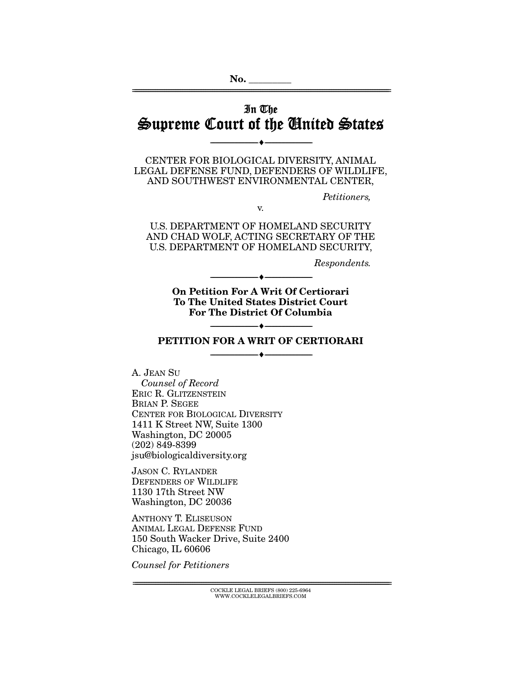# In The Supreme Court of the United States

--------------------------------- ---------------------------------

================================================================================================================

CENTER FOR BIOLOGICAL DIVERSITY, ANIMAL LEGAL DEFENSE FUND, DEFENDERS OF WILDLIFE, AND SOUTHWEST ENVIRONMENTAL CENTER,

*Petitioners,* 

v.

U.S. DEPARTMENT OF HOMELAND SECURITY AND CHAD WOLF, ACTING SECRETARY OF THE U.S. DEPARTMENT OF HOMELAND SECURITY,

*Respondents.* 

On Petition For A Writ Of Certiorari To The United States District Court For The District Of Columbia

--------------------------------- ---------------------------------

### --------------------------------- --------------------------------- PETITION FOR A WRIT OF CERTIORARI

--------------------------------- ---------------------------------

A. JEAN SU *Counsel of Record*  ERIC R. GLITZENSTEIN BRIAN P. SEGEE CENTER FOR BIOLOGICAL DIVERSITY 1411 K Street NW, Suite 1300 Washington, DC 20005 (202) 849-8399 jsu@biologicaldiversity.org

JASON C. RYLANDER DEFENDERS OF WILDLIFE 1130 17th Street NW Washington, DC 20036

ANTHONY T. ELISEUSON ANIMAL LEGAL DEFENSE FUND 150 South Wacker Drive, Suite 2400 Chicago, IL 60606

*Counsel for Petitioners* 

 $\text{COCKLE LEGAL BRIEFS}$  (800) 225-6964 WWW.COCKLELEGALBRIEFS.COM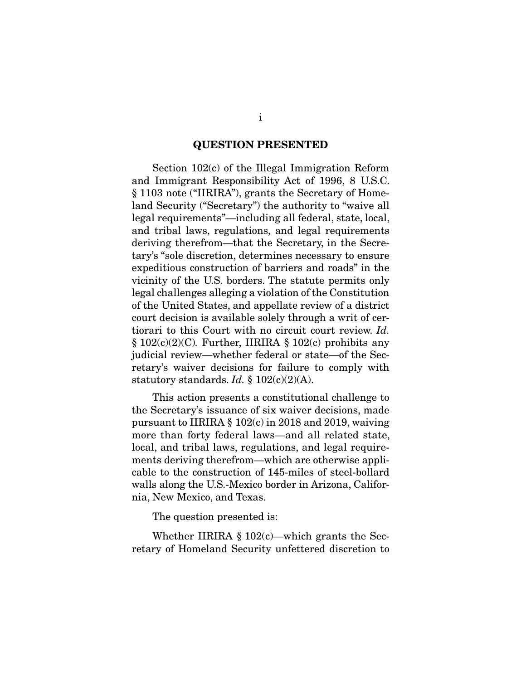#### QUESTION PRESENTED

 Section 102(c) of the Illegal Immigration Reform and Immigrant Responsibility Act of 1996, 8 U.S.C. § 1103 note ("IIRIRA"), grants the Secretary of Homeland Security ("Secretary") the authority to "waive all legal requirements"—including all federal, state, local, and tribal laws, regulations, and legal requirements deriving therefrom—that the Secretary, in the Secretary's "sole discretion, determines necessary to ensure expeditious construction of barriers and roads" in the vicinity of the U.S. borders. The statute permits only legal challenges alleging a violation of the Constitution of the United States, and appellate review of a district court decision is available solely through a writ of certiorari to this Court with no circuit court review. *Id.*  § 102(c)(2)(C)*.* Further, IIRIRA § 102(c) prohibits any judicial review—whether federal or state—of the Secretary's waiver decisions for failure to comply with statutory standards. *Id.* § 102(c)(2)(A).

 This action presents a constitutional challenge to the Secretary's issuance of six waiver decisions, made pursuant to IIRIRA § 102(c) in 2018 and 2019, waiving more than forty federal laws—and all related state, local, and tribal laws, regulations, and legal requirements deriving therefrom—which are otherwise applicable to the construction of 145-miles of steel-bollard walls along the U.S.-Mexico border in Arizona, California, New Mexico, and Texas.

The question presented is:

Whether IIRIRA  $\S 102(c)$ —which grants the Secretary of Homeland Security unfettered discretion to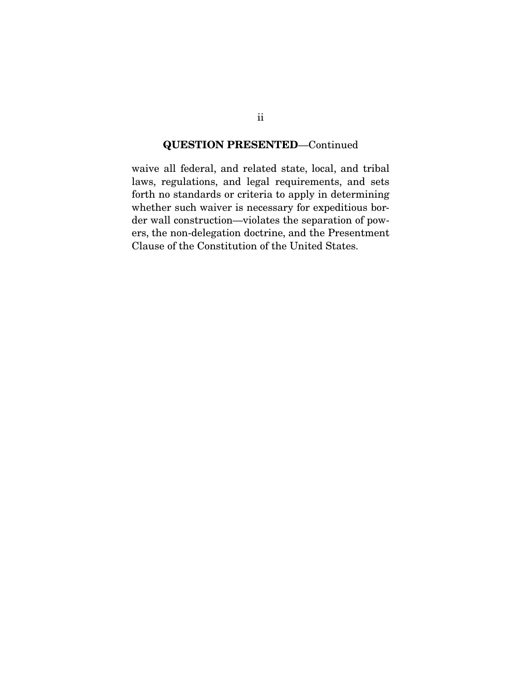### QUESTION PRESENTED—Continued

waive all federal, and related state, local, and tribal laws, regulations, and legal requirements, and sets forth no standards or criteria to apply in determining whether such waiver is necessary for expeditious border wall construction—violates the separation of powers, the non-delegation doctrine, and the Presentment Clause of the Constitution of the United States.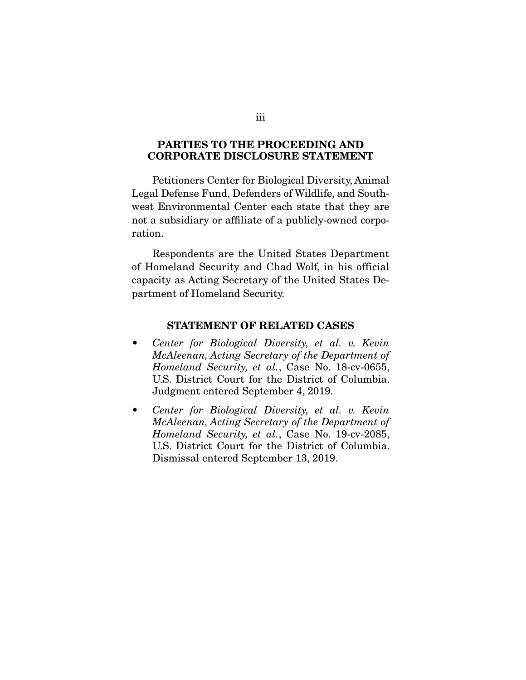#### PARTIES TO THE PROCEEDING AND CORPORATE DISCLOSURE STATEMENT

 Petitioners Center for Biological Diversity, Animal Legal Defense Fund, Defenders of Wildlife, and Southwest Environmental Center each state that they are not a subsidiary or affiliate of a publicly-owned corporation.

 Respondents are the United States Department of Homeland Security and Chad Wolf, in his official capacity as Acting Secretary of the United States Department of Homeland Security.

#### STATEMENT OF RELATED CASES

- *Center for Biological Diversity, et al. v. Kevin McAleenan, Acting Secretary of the Department of Homeland Security, et al.*, Case No. 18-cv-0655, U.S. District Court for the District of Columbia. Judgment entered September 4, 2019.
- *Center for Biological Diversity, et al. v. Kevin McAleenan, Acting Secretary of the Department of Homeland Security, et al.*, Case No. 19-cv-2085, U.S. District Court for the District of Columbia. Dismissal entered September 13, 2019.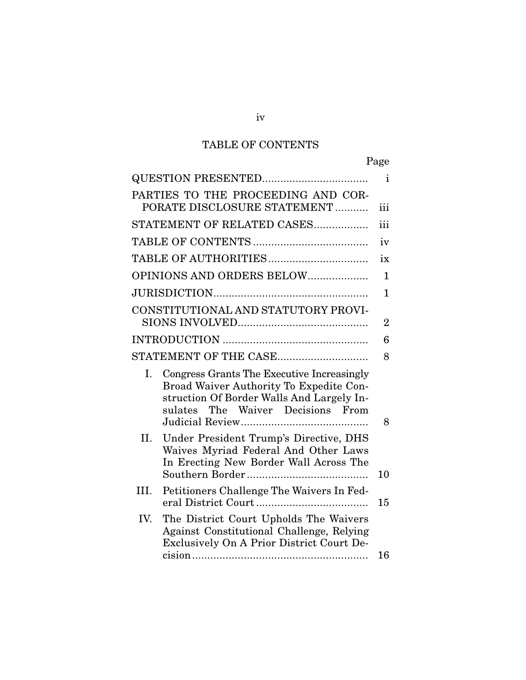# TABLE OF CONTENTS

|                                                                                                                                                                               | i              |
|-------------------------------------------------------------------------------------------------------------------------------------------------------------------------------|----------------|
| PARTIES TO THE PROCEEDING AND COR-<br>PORATE DISCLOSURE STATEMENT                                                                                                             | iii            |
| STATEMENT OF RELATED CASES                                                                                                                                                    | iii            |
|                                                                                                                                                                               | iv             |
|                                                                                                                                                                               | ix             |
| OPINIONS AND ORDERS BELOW                                                                                                                                                     | $\mathbf{1}$   |
|                                                                                                                                                                               | 1              |
| CONSTITUTIONAL AND STATUTORY PROVI-                                                                                                                                           | $\overline{2}$ |
|                                                                                                                                                                               | 6              |
| STATEMENT OF THE CASE                                                                                                                                                         | 8              |
| Congress Grants The Executive Increasingly<br>Ι.<br>Broad Waiver Authority To Expedite Con-<br>struction Of Border Walls And Largely In-<br>sulates The Waiver Decisions From | 8              |
| II.<br>Under President Trump's Directive, DHS<br>Waives Myriad Federal And Other Laws<br>In Erecting New Border Wall Across The                                               | 10             |
| III.<br>Petitioners Challenge The Waivers In Fed-                                                                                                                             | 15             |
| IV.<br>The District Court Upholds The Waivers<br>Against Constitutional Challenge, Relying<br>Exclusively On A Prior District Court De-                                       |                |
|                                                                                                                                                                               | 16             |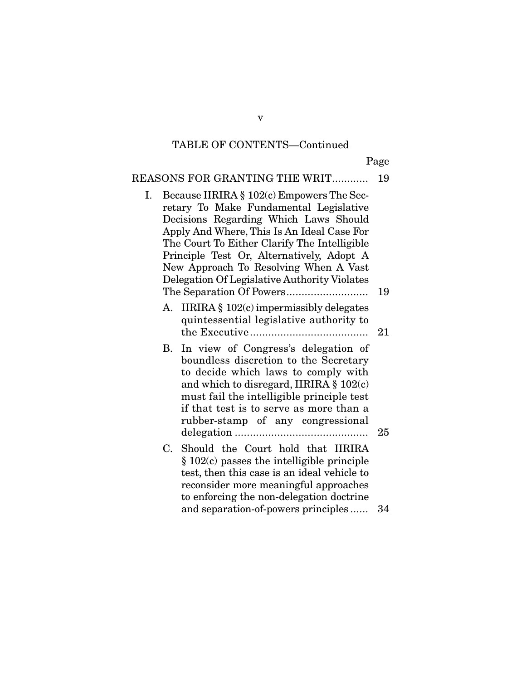Page

# REASONS FOR GRANTING THE WRIT............. 19

| Ι. | Because IIRIRA § 102(c) Empowers The Sec-<br>retary To Make Fundamental Legislative<br>Decisions Regarding Which Laws Should<br>Apply And Where, This Is An Ideal Case For<br>The Court To Either Clarify The Intelligible<br>Principle Test Or, Alternatively, Adopt A<br>New Approach To Resolving When A Vast<br>Delegation Of Legislative Authority Violates | 19 |
|----|------------------------------------------------------------------------------------------------------------------------------------------------------------------------------------------------------------------------------------------------------------------------------------------------------------------------------------------------------------------|----|
| А. | IIRIRA § 102(c) impermissibly delegates<br>quintessential legislative authority to                                                                                                                                                                                                                                                                               | 21 |
| В. | In view of Congress's delegation of<br>boundless discretion to the Secretary<br>to decide which laws to comply with<br>and which to disregard, IIRIRA $\S 102(c)$<br>must fail the intelligible principle test<br>if that test is to serve as more than a<br>rubber-stamp of any congressional                                                                   | 25 |
|    | C. Should the Court hold that IIRIRA<br>$\S 102(c)$ passes the intelligible principle<br>test, then this case is an ideal vehicle to<br>reconsider more meaningful approaches<br>to enforcing the non-delegation doctrine                                                                                                                                        |    |
|    | and separation-of-powers principles                                                                                                                                                                                                                                                                                                                              | 34 |

v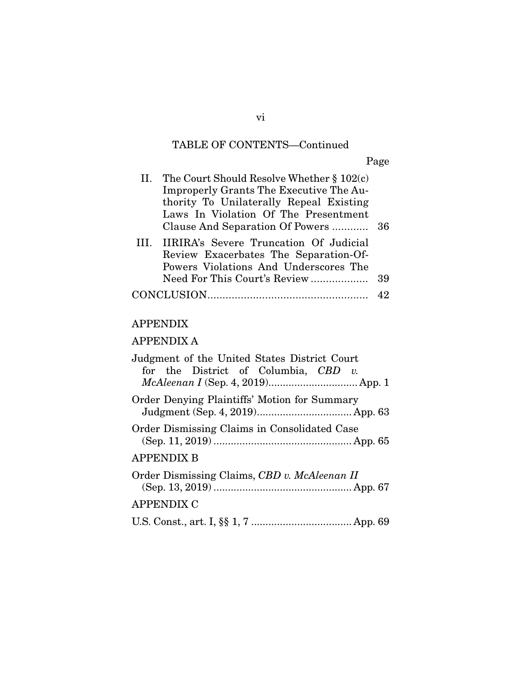Page

| II. The Court Should Resolve Whether $\S 102(c)$<br><b>Improperly Grants The Executive The Au-</b><br>thority To Unilaterally Repeal Existing<br>Laws In Violation Of The Presentment |    |
|---------------------------------------------------------------------------------------------------------------------------------------------------------------------------------------|----|
| III. IIRIRA's Severe Truncation Of Judicial<br>Review Exacerbates The Separation-Of-<br>Powers Violations And Underscores The                                                         | 39 |
|                                                                                                                                                                                       |    |

# APPENDIX

# APPENDIX A

| Judgment of the United States District Court<br>for the District of Columbia, $CBD$ v.<br>McAleenan I (Sep. 4, 2019) App. 1 |
|-----------------------------------------------------------------------------------------------------------------------------|
| Order Denying Plaintiffs' Motion for Summary                                                                                |
| Order Dismissing Claims in Consolidated Case                                                                                |
| <b>APPENDIX B</b>                                                                                                           |
| Order Dismissing Claims, CBD v. McAleenan II                                                                                |
| <b>APPENDIX C</b>                                                                                                           |
|                                                                                                                             |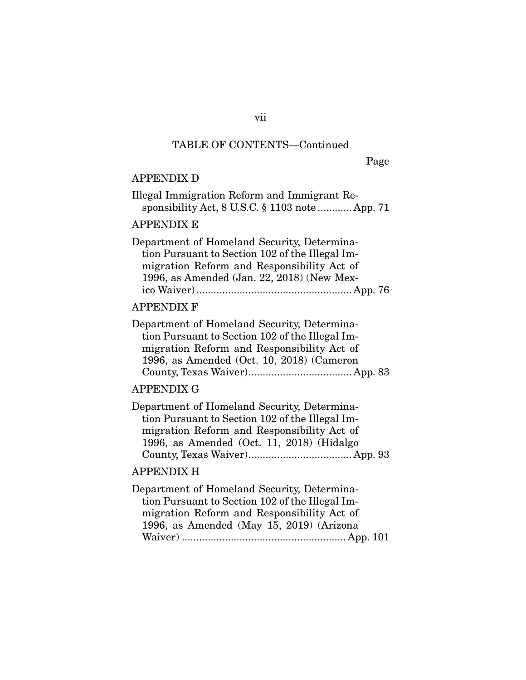Page

### APPENDIX D

| Illegal Immigration Reform and Immigrant Re-         |
|------------------------------------------------------|
| sponsibility Act, $8$ U.S.C. $\S$ 1103 note  App. 71 |

### APPENDIX E

| Department of Homeland Security, Determina-     |  |
|-------------------------------------------------|--|
| tion Pursuant to Section 102 of the Illegal Im- |  |
| migration Reform and Responsibility Act of      |  |
| 1996, as Amended (Jan. 22, 2018) (New Mex-      |  |
|                                                 |  |

#### APPENDIX F

| Department of Homeland Security, Determina-     |
|-------------------------------------------------|
| tion Pursuant to Section 102 of the Illegal Im- |
| migration Reform and Responsibility Act of      |
| 1996, as Amended (Oct. 10, 2018) (Cameron       |
|                                                 |

### APPENDIX G

| Department of Homeland Security, Determina-     |
|-------------------------------------------------|
| tion Pursuant to Section 102 of the Illegal Im- |
| migration Reform and Responsibility Act of      |
| 1996, as Amended (Oct. 11, 2018) (Hidalgo       |
|                                                 |

### APPENDIX H

Department of Homeland Security, Determination Pursuant to Section 102 of the Illegal Immigration Reform and Responsibility Act of 1996, as Amended (May 15, 2019) (Arizona Waiver) ......................................................... App. 101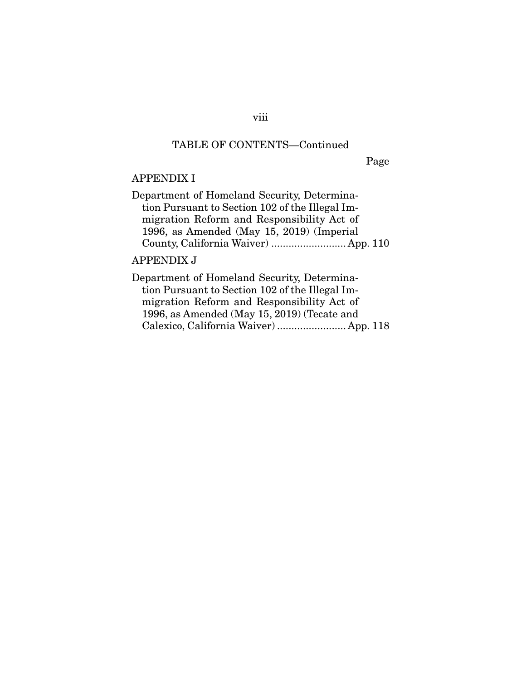# Page

# APPENDIX I

| Department of Homeland Security, Determina-     |  |
|-------------------------------------------------|--|
| tion Pursuant to Section 102 of the Illegal Im- |  |
| migration Reform and Responsibility Act of      |  |
| 1996, as Amended (May 15, 2019) (Imperial       |  |
| County, California Waiver)  App. 110            |  |

# APPENDIX J

| Department of Homeland Security, Determina-     |  |
|-------------------------------------------------|--|
| tion Pursuant to Section 102 of the Illegal Im- |  |
| migration Reform and Responsibility Act of      |  |
| 1996, as Amended (May 15, 2019) (Tecate and     |  |
| Calexico, California Waiver)  App. 118          |  |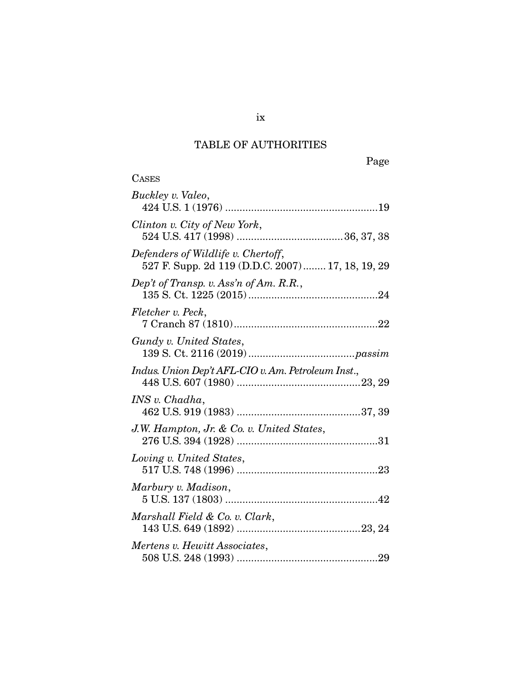# TABLE OF AUTHORITIES

| <b>CASES</b>                                                                           |
|----------------------------------------------------------------------------------------|
| Buckley v. Valeo,                                                                      |
| Clinton v. City of New York,                                                           |
| Defenders of Wildlife v. Chertoff,<br>527 F. Supp. 2d 119 (D.D.C. 2007) 17, 18, 19, 29 |
| Dep't of Transp. v. Ass'n of Am. $R.R.,$                                               |
| Fletcher v. Peck,                                                                      |
| Gundy v. United States,                                                                |
| Indus. Union Dep't AFL-CIO v. Am. Petroleum Inst.,                                     |
| INS v. Chadha,                                                                         |
| J.W. Hampton, Jr. & Co. v. United States,                                              |
| Loving v. United States,                                                               |
| Marbury v. Madison,                                                                    |
| Marshall Field & Co. v. Clark,                                                         |
| Mertens v. Hewitt Associates,                                                          |

ix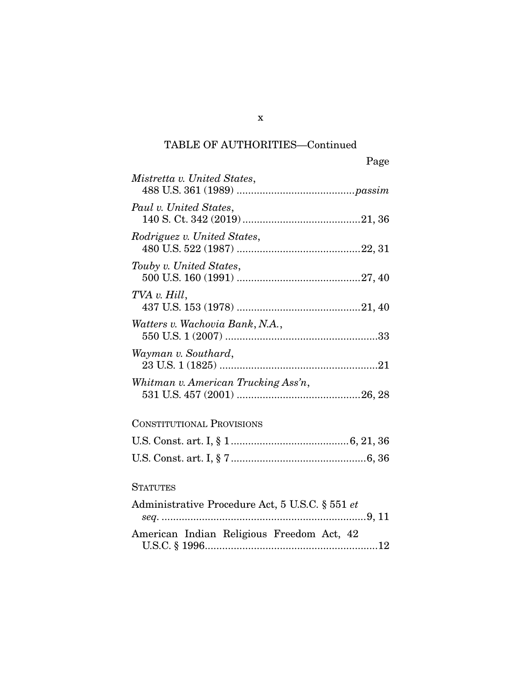# TABLE OF AUTHORITIES—Continued

| Page                                            |
|-------------------------------------------------|
| Mistretta v. United States,                     |
| Paul v. United States,                          |
| Rodriguez v. United States,                     |
| Touby v. United States,                         |
| TVA v. Hill,                                    |
| Watters v. Wachovia Bank, N.A.,                 |
| Wayman v. Southard,                             |
| Whitman v. American Trucking Ass'n,             |
| <b>CONSTITUTIONAL PROVISIONS</b>                |
|                                                 |
|                                                 |
| <b>STATUTES</b>                                 |
| Administrative Procedure Act, 5 U.S.C. § 551 et |

|  | American Indian Religious Freedom Act, 42 |  |  |
|--|-------------------------------------------|--|--|
|  |                                           |  |  |

x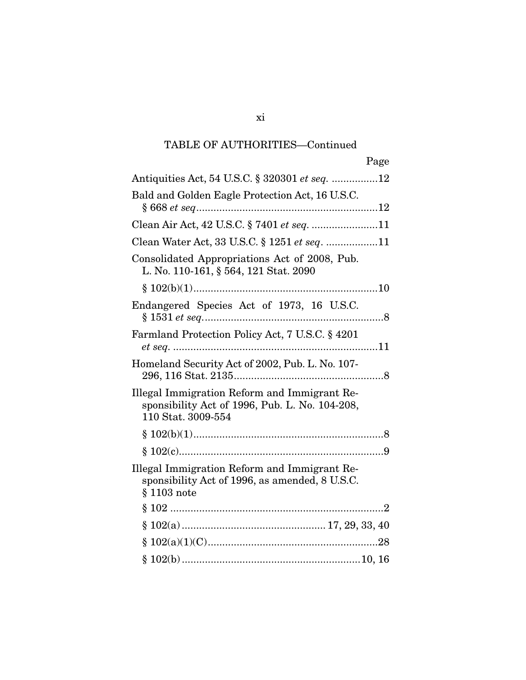# TABLE OF AUTHORITIES—Continued

| Page                                                                                                                 |
|----------------------------------------------------------------------------------------------------------------------|
| Antiquities Act, 54 U.S.C. § 320301 et seq. 12                                                                       |
| Bald and Golden Eagle Protection Act, 16 U.S.C.                                                                      |
| Clean Air Act, 42 U.S.C. § 7401 et seq. 11                                                                           |
| Clean Water Act, 33 U.S.C. § 1251 et seq. 11                                                                         |
| Consolidated Appropriations Act of 2008, Pub.<br>L. No. 110-161, § 564, 121 Stat. 2090                               |
|                                                                                                                      |
| Endangered Species Act of 1973, 16 U.S.C.                                                                            |
| Farmland Protection Policy Act, 7 U.S.C. § 4201                                                                      |
| Homeland Security Act of 2002, Pub. L. No. 107-                                                                      |
| Illegal Immigration Reform and Immigrant Re-<br>sponsibility Act of 1996, Pub. L. No. 104-208,<br>110 Stat. 3009-554 |
|                                                                                                                      |
|                                                                                                                      |
| Illegal Immigration Reform and Immigrant Re-<br>sponsibility Act of 1996, as amended, 8 U.S.C.<br>$§ 1103$ note      |
|                                                                                                                      |
|                                                                                                                      |
|                                                                                                                      |
|                                                                                                                      |

### xi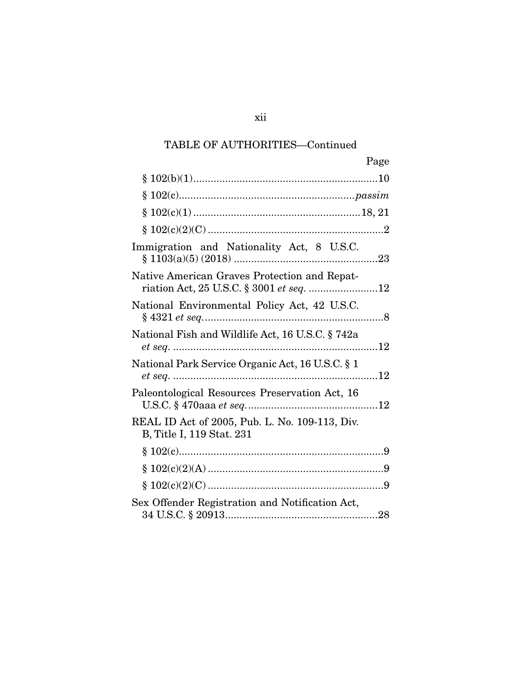# TABLE OF AUTHORITIES—Continued

| Page                                                                                     |
|------------------------------------------------------------------------------------------|
|                                                                                          |
|                                                                                          |
|                                                                                          |
|                                                                                          |
| Immigration and Nationality Act, 8 U.S.C.                                                |
| Native American Graves Protection and Repat-<br>riation Act, 25 U.S.C. § 3001 et seq. 12 |
| National Environmental Policy Act, 42 U.S.C.                                             |
| National Fish and Wildlife Act, 16 U.S.C. § 742a                                         |
| National Park Service Organic Act, 16 U.S.C. § 1                                         |
| Paleontological Resources Preservation Act, 16                                           |
| REAL ID Act of 2005, Pub. L. No. 109-113, Div.<br>B, Title I, 119 Stat. 231              |
|                                                                                          |
|                                                                                          |
|                                                                                          |
| Sex Offender Registration and Notification Act,                                          |

xii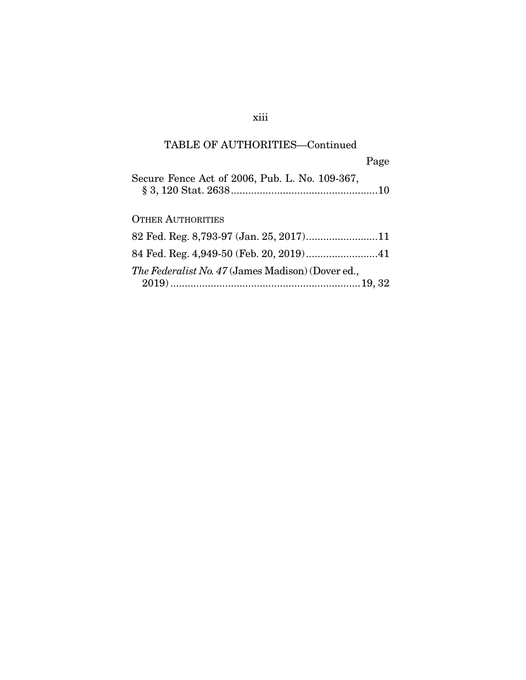# xiii

# TABLE OF AUTHORITIES—Continued

|                                                   | Page |
|---------------------------------------------------|------|
| Secure Fence Act of 2006, Pub. L. No. 109-367,    |      |
| <b>OTHER AUTHORITIES</b>                          |      |
|                                                   |      |
|                                                   |      |
| The Federalist No. 47 (James Madison) (Dover ed., |      |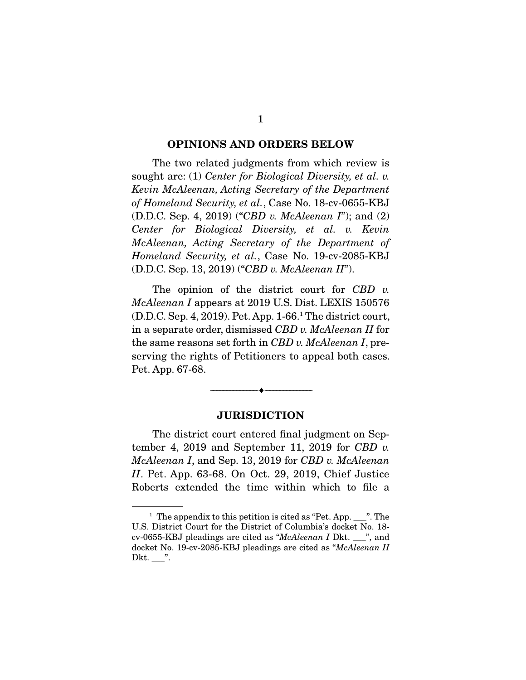#### OPINIONS AND ORDERS BELOW

 The two related judgments from which review is sought are: (1) *Center for Biological Diversity, et al. v. Kevin McAleenan, Acting Secretary of the Department of Homeland Security, et al.*, Case No. 18-cv-0655-KBJ (D.D.C. Sep. 4, 2019) ("*CBD v. McAleenan I*"); and (2) *Center for Biological Diversity, et al. v. Kevin McAleenan, Acting Secretary of the Department of Homeland Security, et al.*, Case No. 19-cv-2085-KBJ (D.D.C. Sep. 13, 2019) ("*CBD v. McAleenan II*").

 The opinion of the district court for *CBD v. McAleenan I* appears at 2019 U.S. Dist. LEXIS 150576 (D.D.C. Sep. 4, 2019). Pet. App. 1-66.1 The district court, in a separate order, dismissed *CBD v. McAleenan II* for the same reasons set forth in *CBD v. McAleenan I*, preserving the rights of Petitioners to appeal both cases. Pet. App. 67-68.

#### **JURISDICTION**

--------------------------------- ---------------------------------

 The district court entered final judgment on September 4, 2019 and September 11, 2019 for *CBD v. McAleenan I*, and Sep. 13, 2019 for *CBD v. McAleenan II*. Pet. App. 63-68. On Oct. 29, 2019, Chief Justice Roberts extended the time within which to file a

<sup>&</sup>lt;sup>1</sup> The appendix to this petition is cited as "Pet. App.  $\frac{1}{2}$ ". The U.S. District Court for the District of Columbia's docket No. 18 cv-0655-KBJ pleadings are cited as "*McAleenan I* Dkt. \_\_\_", and docket No. 19-cv-2085-KBJ pleadings are cited as "*McAleenan II* Dkt.  $\_\$ ".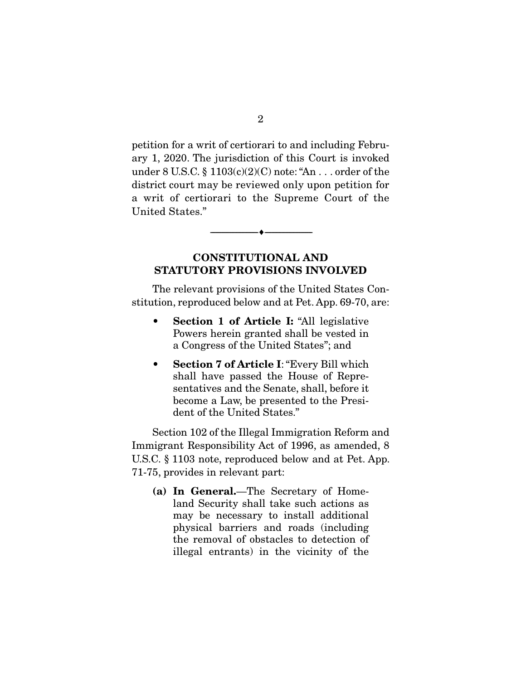petition for a writ of certiorari to and including February 1, 2020. The jurisdiction of this Court is invoked under 8 U.S.C. § 1103(c)(2)(C) note: "An . . . order of the district court may be reviewed only upon petition for a writ of certiorari to the Supreme Court of the United States."

### CONSTITUTIONAL AND STATUTORY PROVISIONS INVOLVED

--------------------------------- ---------------------------------

 The relevant provisions of the United States Constitution, reproduced below and at Pet. App. 69-70, are:

- Section 1 of Article I: "All legislative Powers herein granted shall be vested in a Congress of the United States"; and
- Section 7 of Article I: "Every Bill which shall have passed the House of Representatives and the Senate, shall, before it become a Law, be presented to the President of the United States."

 Section 102 of the Illegal Immigration Reform and Immigrant Responsibility Act of 1996, as amended, 8 U.S.C. § 1103 note, reproduced below and at Pet. App. 71-75, provides in relevant part:

(a) In General.—The Secretary of Homeland Security shall take such actions as may be necessary to install additional physical barriers and roads (including the removal of obstacles to detection of illegal entrants) in the vicinity of the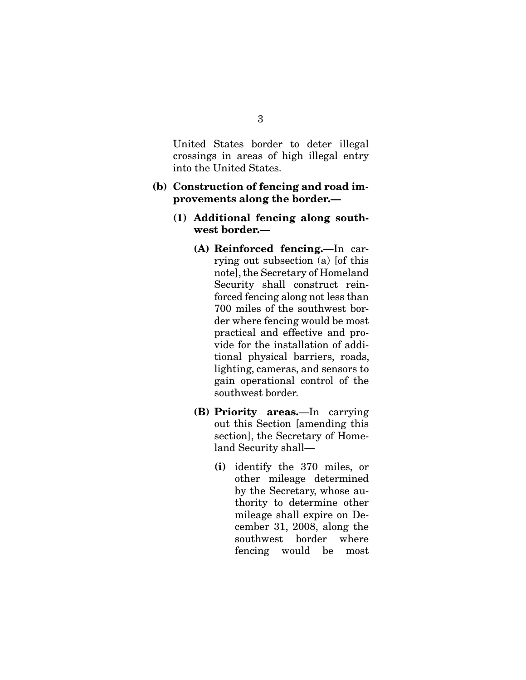United States border to deter illegal crossings in areas of high illegal entry into the United States.

#### (b) Construction of fencing and road improvements along the border.—

- (1) Additional fencing along southwest border.—
	- (A) Reinforced fencing.—In carrying out subsection (a) [of this note], the Secretary of Homeland Security shall construct reinforced fencing along not less than 700 miles of the southwest border where fencing would be most practical and effective and provide for the installation of additional physical barriers, roads, lighting, cameras, and sensors to gain operational control of the southwest border.
	- (B) Priority areas.—In carrying out this Section [amending this section], the Secretary of Homeland Security shall—
		- (i) identify the 370 miles, or other mileage determined by the Secretary, whose authority to determine other mileage shall expire on December 31, 2008, along the southwest border where fencing would be most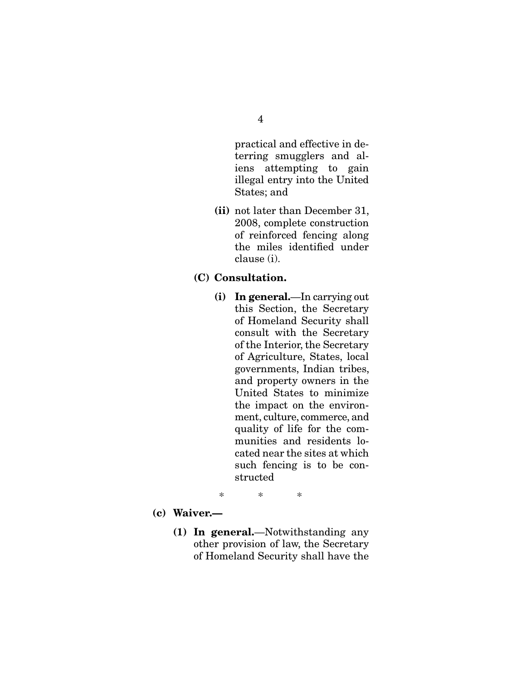practical and effective in deterring smugglers and aliens attempting to gain illegal entry into the United States; and

- (ii) not later than December 31, 2008, complete construction of reinforced fencing along the miles identified under clause (i).
- (C) Consultation.
	- (i) In general.—In carrying out this Section, the Secretary of Homeland Security shall consult with the Secretary of the Interior, the Secretary of Agriculture, States, local governments, Indian tribes, and property owners in the United States to minimize the impact on the environment, culture, commerce, and quality of life for the communities and residents located near the sites at which such fencing is to be constructed
	- \* \* \*
- (c) Waiver.—
	- (1) In general.—Notwithstanding any other provision of law, the Secretary of Homeland Security shall have the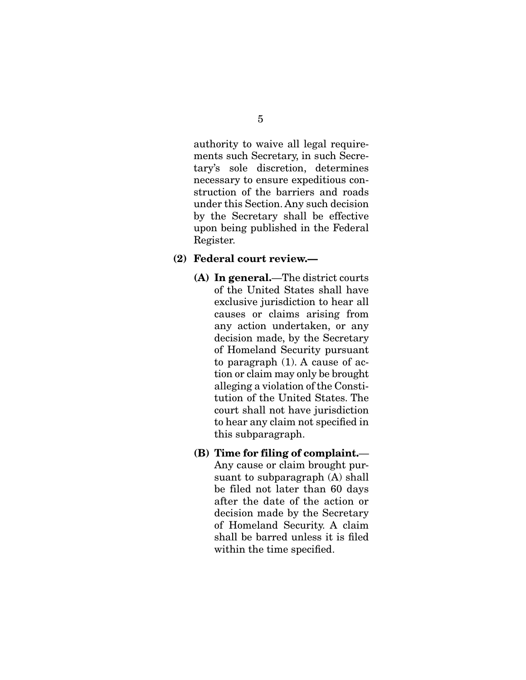authority to waive all legal requirements such Secretary, in such Secretary's sole discretion, determines necessary to ensure expeditious construction of the barriers and roads under this Section. Any such decision by the Secretary shall be effective upon being published in the Federal Register.

#### (2) Federal court review.—

- (A) In general.—The district courts of the United States shall have exclusive jurisdiction to hear all causes or claims arising from any action undertaken, or any decision made, by the Secretary of Homeland Security pursuant to paragraph (1). A cause of action or claim may only be brought alleging a violation of the Constitution of the United States. The court shall not have jurisdiction to hear any claim not specified in this subparagraph.
- (B) Time for filing of complaint.— Any cause or claim brought pursuant to subparagraph (A) shall be filed not later than 60 days after the date of the action or decision made by the Secretary of Homeland Security. A claim shall be barred unless it is filed within the time specified.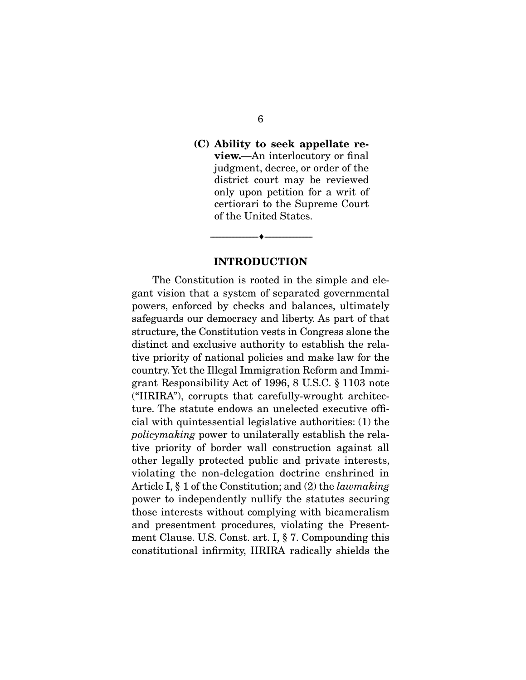### (C) Ability to seek appellate review.—An interlocutory or final judgment, decree, or order of the district court may be reviewed only upon petition for a writ of certiorari to the Supreme Court of the United States.

#### INTRODUCTION

--------------------------------- ---------------------------------

 The Constitution is rooted in the simple and elegant vision that a system of separated governmental powers, enforced by checks and balances, ultimately safeguards our democracy and liberty. As part of that structure, the Constitution vests in Congress alone the distinct and exclusive authority to establish the relative priority of national policies and make law for the country. Yet the Illegal Immigration Reform and Immigrant Responsibility Act of 1996, 8 U.S.C. § 1103 note ("IIRIRA"), corrupts that carefully-wrought architecture. The statute endows an unelected executive official with quintessential legislative authorities: (1) the *policymaking* power to unilaterally establish the relative priority of border wall construction against all other legally protected public and private interests, violating the non-delegation doctrine enshrined in Article I, § 1 of the Constitution; and (2) the *lawmaking* power to independently nullify the statutes securing those interests without complying with bicameralism and presentment procedures, violating the Presentment Clause. U.S. Const. art. I, § 7. Compounding this constitutional infirmity, IIRIRA radically shields the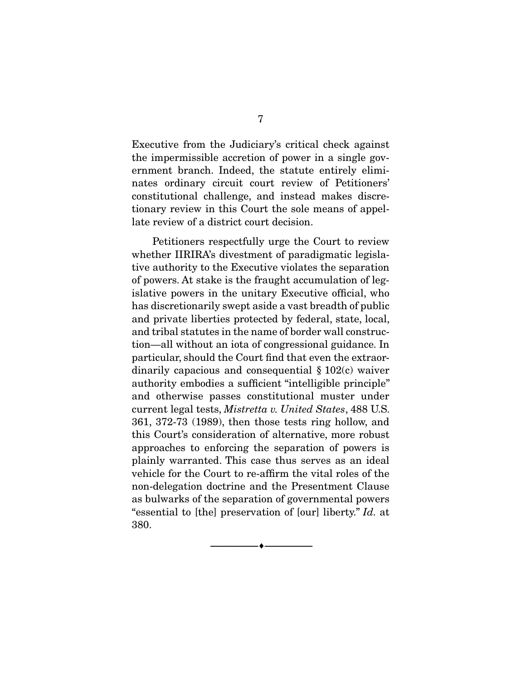Executive from the Judiciary's critical check against the impermissible accretion of power in a single government branch. Indeed, the statute entirely eliminates ordinary circuit court review of Petitioners' constitutional challenge, and instead makes discretionary review in this Court the sole means of appellate review of a district court decision.

 Petitioners respectfully urge the Court to review whether IIRIRA's divestment of paradigmatic legislative authority to the Executive violates the separation of powers. At stake is the fraught accumulation of legislative powers in the unitary Executive official, who has discretionarily swept aside a vast breadth of public and private liberties protected by federal, state, local, and tribal statutes in the name of border wall construction—all without an iota of congressional guidance. In particular, should the Court find that even the extraordinarily capacious and consequential § 102(c) waiver authority embodies a sufficient "intelligible principle" and otherwise passes constitutional muster under current legal tests, *Mistretta v. United States*, 488 U.S. 361, 372-73 (1989), then those tests ring hollow, and this Court's consideration of alternative, more robust approaches to enforcing the separation of powers is plainly warranted. This case thus serves as an ideal vehicle for the Court to re-affirm the vital roles of the non-delegation doctrine and the Presentment Clause as bulwarks of the separation of governmental powers "essential to [the] preservation of [our] liberty." *Id.* at 380.

--------------------------------- ---------------------------------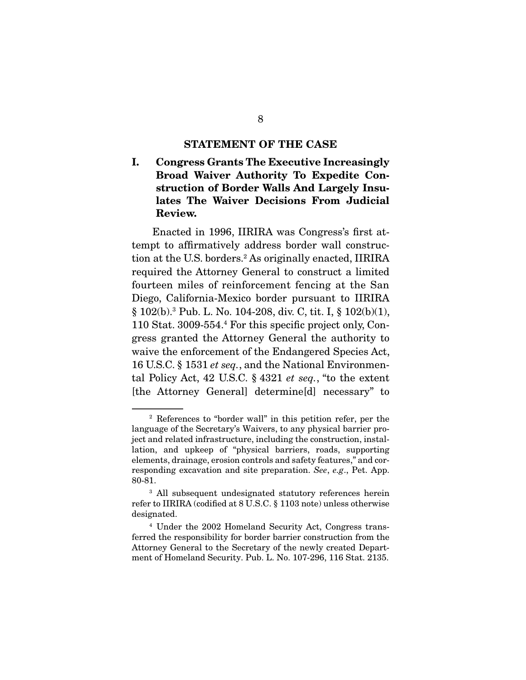#### STATEMENT OF THE CASE

I. Congress Grants The Executive Increasingly Broad Waiver Authority To Expedite Construction of Border Walls And Largely Insulates The Waiver Decisions From Judicial Review.

 Enacted in 1996, IIRIRA was Congress's first attempt to affirmatively address border wall construction at the U.S. borders.2 As originally enacted, IIRIRA required the Attorney General to construct a limited fourteen miles of reinforcement fencing at the San Diego, California-Mexico border pursuant to IIRIRA § 102(b).3 Pub. L. No. 104-208, div. C, tit. I, § 102(b)(1), 110 Stat. 3009-554.4 For this specific project only, Congress granted the Attorney General the authority to waive the enforcement of the Endangered Species Act, 16 U.S.C. § 1531 *et seq.*, and the National Environmental Policy Act, 42 U.S.C. § 4321 *et seq.*, "to the extent [the Attorney General] determine[d] necessary" to

<sup>2</sup> References to "border wall" in this petition refer, per the language of the Secretary's Waivers, to any physical barrier project and related infrastructure, including the construction, installation, and upkeep of "physical barriers, roads, supporting elements, drainage, erosion controls and safety features," and corresponding excavation and site preparation. *See*, *e.g*., Pet. App. 80-81.

<sup>&</sup>lt;sup>3</sup> All subsequent undesignated statutory references herein refer to IIRIRA (codified at 8 U.S.C. § 1103 note) unless otherwise designated.

<sup>4</sup> Under the 2002 Homeland Security Act, Congress transferred the responsibility for border barrier construction from the Attorney General to the Secretary of the newly created Department of Homeland Security. Pub. L. No. 107-296, 116 Stat. 2135.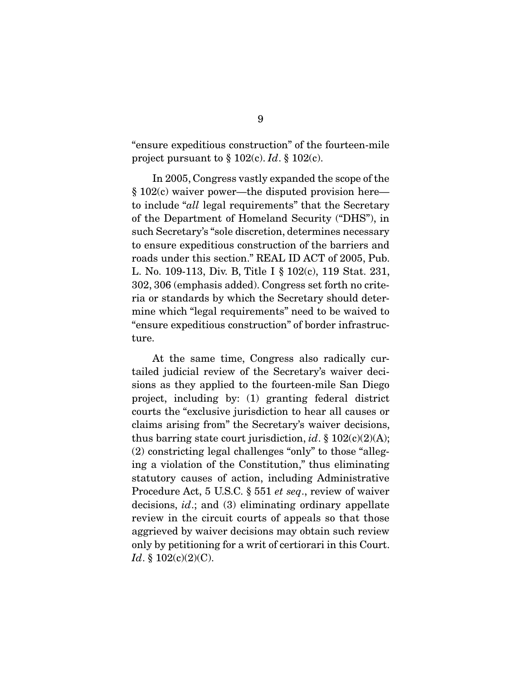"ensure expeditious construction" of the fourteen-mile project pursuant to § 102(c). *Id*. § 102(c).

 In 2005, Congress vastly expanded the scope of the § 102(c) waiver power—the disputed provision here to include "*all* legal requirements" that the Secretary of the Department of Homeland Security ("DHS"), in such Secretary's "sole discretion, determines necessary to ensure expeditious construction of the barriers and roads under this section." REAL ID ACT of 2005, Pub. L. No. 109-113, Div. B, Title I § 102(c), 119 Stat. 231, 302, 306 (emphasis added). Congress set forth no criteria or standards by which the Secretary should determine which "legal requirements" need to be waived to "ensure expeditious construction" of border infrastructure.

 At the same time, Congress also radically curtailed judicial review of the Secretary's waiver decisions as they applied to the fourteen-mile San Diego project, including by: (1) granting federal district courts the "exclusive jurisdiction to hear all causes or claims arising from" the Secretary's waiver decisions, thus barring state court jurisdiction, *id*. § 102(c)(2)(A); (2) constricting legal challenges "only" to those "alleging a violation of the Constitution," thus eliminating statutory causes of action, including Administrative Procedure Act, 5 U.S.C. § 551 *et seq*., review of waiver decisions, *id*.; and (3) eliminating ordinary appellate review in the circuit courts of appeals so that those aggrieved by waiver decisions may obtain such review only by petitioning for a writ of certiorari in this Court. *Id*. § 102(c)(2)(C).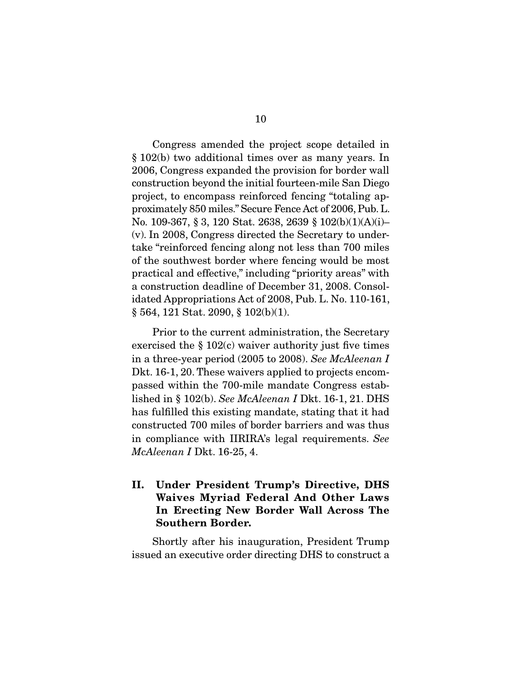Congress amended the project scope detailed in § 102(b) two additional times over as many years. In 2006, Congress expanded the provision for border wall construction beyond the initial fourteen-mile San Diego project, to encompass reinforced fencing "totaling approximately 850 miles." Secure Fence Act of 2006, Pub. L. No. 109-367, § 3, 120 Stat. 2638, 2639 § 102(b)(1)(A)(i)– (v). In 2008, Congress directed the Secretary to undertake "reinforced fencing along not less than 700 miles of the southwest border where fencing would be most practical and effective," including "priority areas" with a construction deadline of December 31, 2008. Consolidated Appropriations Act of 2008, Pub. L. No. 110-161, § 564, 121 Stat. 2090, § 102(b)(1).

 Prior to the current administration, the Secretary exercised the § 102(c) waiver authority just five times in a three-year period (2005 to 2008). *See McAleenan I*  Dkt. 16-1, 20. These waivers applied to projects encompassed within the 700-mile mandate Congress established in § 102(b). *See McAleenan I* Dkt. 16-1, 21. DHS has fulfilled this existing mandate, stating that it had constructed 700 miles of border barriers and was thus in compliance with IIRIRA's legal requirements. *See McAleenan I* Dkt. 16-25, 4.

II. Under President Trump's Directive, DHS Waives Myriad Federal And Other Laws In Erecting New Border Wall Across The Southern Border.

 Shortly after his inauguration, President Trump issued an executive order directing DHS to construct a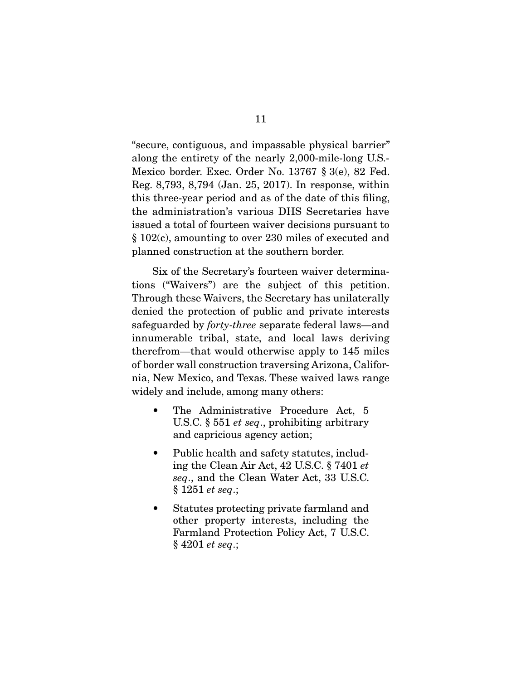"secure, contiguous, and impassable physical barrier" along the entirety of the nearly 2,000-mile-long U.S.- Mexico border. Exec. Order No. 13767 § 3(e), 82 Fed. Reg. 8,793, 8,794 (Jan. 25, 2017). In response, within this three-year period and as of the date of this filing, the administration's various DHS Secretaries have issued a total of fourteen waiver decisions pursuant to § 102(c), amounting to over 230 miles of executed and planned construction at the southern border.

 Six of the Secretary's fourteen waiver determinations ("Waivers") are the subject of this petition. Through these Waivers, the Secretary has unilaterally denied the protection of public and private interests safeguarded by *forty-three* separate federal laws—and innumerable tribal, state, and local laws deriving therefrom—that would otherwise apply to 145 miles of border wall construction traversing Arizona, California, New Mexico, and Texas. These waived laws range widely and include, among many others:

- The Administrative Procedure Act, 5 U.S.C. § 551 *et seq*., prohibiting arbitrary and capricious agency action;
- Public health and safety statutes, including the Clean Air Act, 42 U.S.C. § 7401 *et seq*., and the Clean Water Act, 33 U.S.C. § 1251 *et seq*.;
- Statutes protecting private farmland and other property interests, including the Farmland Protection Policy Act, 7 U.S.C. § 4201 *et seq*.;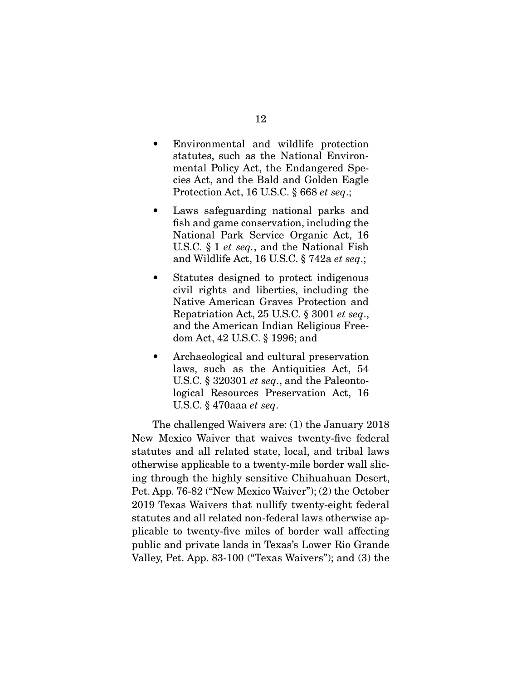- Environmental and wildlife protection statutes, such as the National Environmental Policy Act, the Endangered Species Act, and the Bald and Golden Eagle Protection Act, 16 U.S.C. § 668 *et seq*.;
- Laws safeguarding national parks and fish and game conservation, including the National Park Service Organic Act, 16 U.S.C. § 1 *et seq.*, and the National Fish and Wildlife Act, 16 U.S.C. § 742a *et seq*.;
- Statutes designed to protect indigenous civil rights and liberties, including the Native American Graves Protection and Repatriation Act, 25 U.S.C. § 3001 *et seq*., and the American Indian Religious Freedom Act, 42 U.S.C. § 1996; and
- Archaeological and cultural preservation laws, such as the Antiquities Act, 54 U.S.C. § 320301 *et seq*., and the Paleontological Resources Preservation Act, 16 U.S.C. § 470aaa *et seq*.

 The challenged Waivers are: (1) the January 2018 New Mexico Waiver that waives twenty-five federal statutes and all related state, local, and tribal laws otherwise applicable to a twenty-mile border wall slicing through the highly sensitive Chihuahuan Desert, Pet. App. 76-82 ("New Mexico Waiver"); (2) the October 2019 Texas Waivers that nullify twenty-eight federal statutes and all related non-federal laws otherwise applicable to twenty-five miles of border wall affecting public and private lands in Texas's Lower Rio Grande Valley, Pet. App. 83-100 ("Texas Waivers"); and (3) the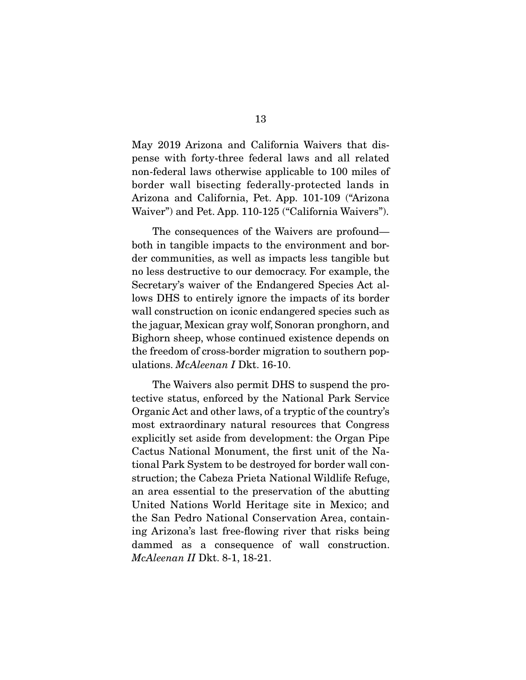May 2019 Arizona and California Waivers that dispense with forty-three federal laws and all related non-federal laws otherwise applicable to 100 miles of border wall bisecting federally-protected lands in Arizona and California, Pet. App. 101-109 ("Arizona Waiver") and Pet. App. 110-125 ("California Waivers").

 The consequences of the Waivers are profound both in tangible impacts to the environment and border communities, as well as impacts less tangible but no less destructive to our democracy. For example, the Secretary's waiver of the Endangered Species Act allows DHS to entirely ignore the impacts of its border wall construction on iconic endangered species such as the jaguar, Mexican gray wolf, Sonoran pronghorn, and Bighorn sheep, whose continued existence depends on the freedom of cross-border migration to southern populations. *McAleenan I* Dkt. 16-10.

 The Waivers also permit DHS to suspend the protective status, enforced by the National Park Service Organic Act and other laws, of a tryptic of the country's most extraordinary natural resources that Congress explicitly set aside from development: the Organ Pipe Cactus National Monument, the first unit of the National Park System to be destroyed for border wall construction; the Cabeza Prieta National Wildlife Refuge, an area essential to the preservation of the abutting United Nations World Heritage site in Mexico; and the San Pedro National Conservation Area, containing Arizona's last free-flowing river that risks being dammed as a consequence of wall construction. *McAleenan II* Dkt. 8-1, 18-21.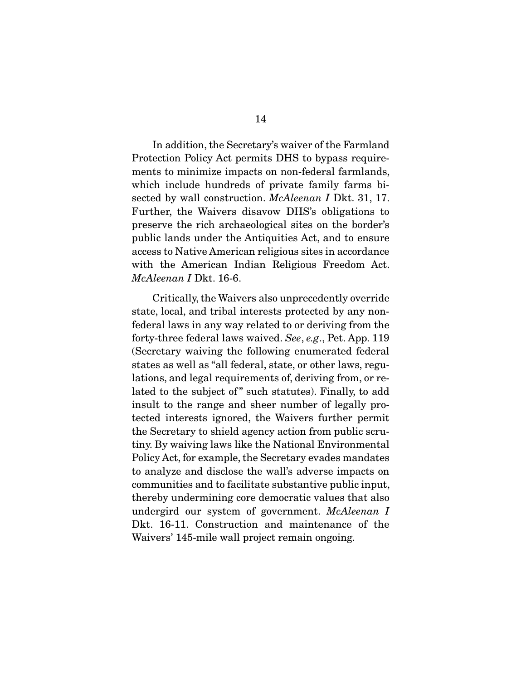In addition, the Secretary's waiver of the Farmland Protection Policy Act permits DHS to bypass requirements to minimize impacts on non-federal farmlands, which include hundreds of private family farms bisected by wall construction. *McAleenan I* Dkt. 31, 17. Further, the Waivers disavow DHS's obligations to preserve the rich archaeological sites on the border's public lands under the Antiquities Act, and to ensure access to Native American religious sites in accordance with the American Indian Religious Freedom Act. *McAleenan I* Dkt. 16-6.

 Critically, the Waivers also unprecedently override state, local, and tribal interests protected by any nonfederal laws in any way related to or deriving from the forty-three federal laws waived. *See*, *e.g*., Pet. App. 119 (Secretary waiving the following enumerated federal states as well as "all federal, state, or other laws, regulations, and legal requirements of, deriving from, or related to the subject of" such statutes). Finally, to add insult to the range and sheer number of legally protected interests ignored, the Waivers further permit the Secretary to shield agency action from public scrutiny. By waiving laws like the National Environmental Policy Act, for example, the Secretary evades mandates to analyze and disclose the wall's adverse impacts on communities and to facilitate substantive public input, thereby undermining core democratic values that also undergird our system of government. *McAleenan I* Dkt. 16-11. Construction and maintenance of the Waivers' 145-mile wall project remain ongoing.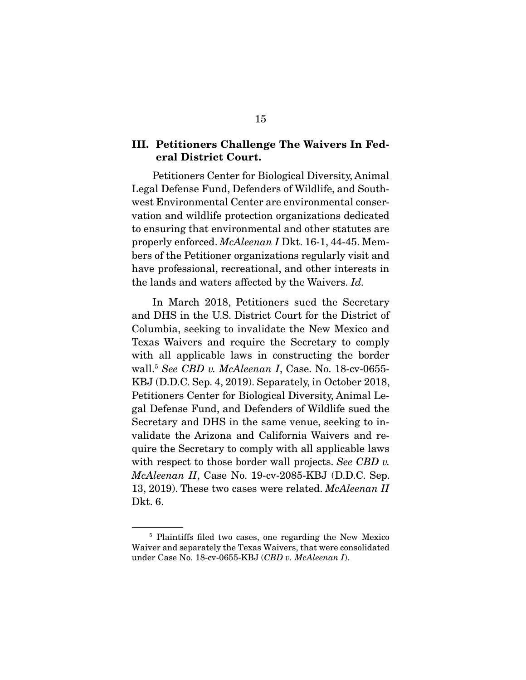### III. Petitioners Challenge The Waivers In Federal District Court.

 Petitioners Center for Biological Diversity, Animal Legal Defense Fund, Defenders of Wildlife, and Southwest Environmental Center are environmental conservation and wildlife protection organizations dedicated to ensuring that environmental and other statutes are properly enforced. *McAleenan I* Dkt. 16-1, 44-45. Members of the Petitioner organizations regularly visit and have professional, recreational, and other interests in the lands and waters affected by the Waivers. *Id.*

 In March 2018, Petitioners sued the Secretary and DHS in the U.S. District Court for the District of Columbia, seeking to invalidate the New Mexico and Texas Waivers and require the Secretary to comply with all applicable laws in constructing the border wall.5 *See CBD v. McAleenan I*, Case. No. 18-cv-0655- KBJ (D.D.C. Sep. 4, 2019). Separately, in October 2018, Petitioners Center for Biological Diversity, Animal Legal Defense Fund, and Defenders of Wildlife sued the Secretary and DHS in the same venue, seeking to invalidate the Arizona and California Waivers and require the Secretary to comply with all applicable laws with respect to those border wall projects. *See CBD v. McAleenan II*, Case No. 19-cv-2085-KBJ (D.D.C. Sep. 13, 2019). These two cases were related. *McAleenan II* Dkt. 6.

<sup>5</sup> Plaintiffs filed two cases, one regarding the New Mexico Waiver and separately the Texas Waivers, that were consolidated under Case No. 18-cv-0655-KBJ (*CBD v. McAleenan I*).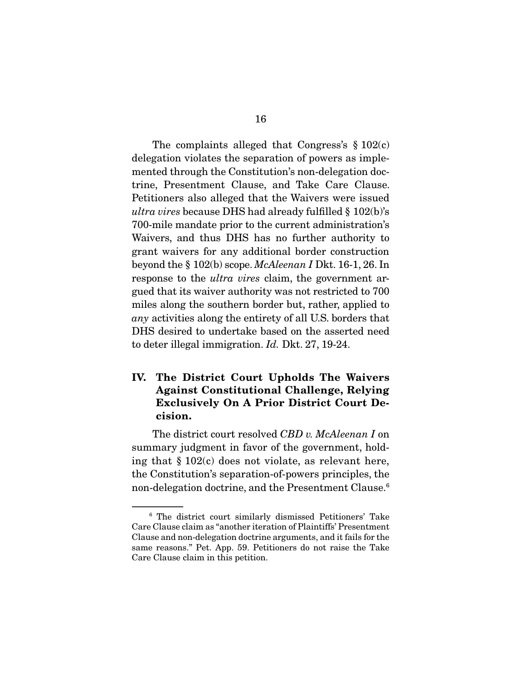The complaints alleged that Congress's § 102(c) delegation violates the separation of powers as implemented through the Constitution's non-delegation doctrine, Presentment Clause, and Take Care Clause. Petitioners also alleged that the Waivers were issued *ultra vires* because DHS had already fulfilled § 102(b)'s 700-mile mandate prior to the current administration's Waivers, and thus DHS has no further authority to grant waivers for any additional border construction beyond the § 102(b) scope. *McAleenan I* Dkt. 16-1, 26. In response to the *ultra vires* claim, the government argued that its waiver authority was not restricted to 700 miles along the southern border but, rather, applied to *any* activities along the entirety of all U.S. borders that DHS desired to undertake based on the asserted need to deter illegal immigration. *Id.* Dkt. 27, 19-24.

### IV. The District Court Upholds The Waivers Against Constitutional Challenge, Relying Exclusively On A Prior District Court Decision.

 The district court resolved *CBD v. McAleenan I* on summary judgment in favor of the government, holding that § 102(c) does not violate, as relevant here, the Constitution's separation-of-powers principles, the non-delegation doctrine, and the Presentment Clause.<sup>6</sup>

<sup>6</sup> The district court similarly dismissed Petitioners' Take Care Clause claim as "another iteration of Plaintiffs' Presentment Clause and non-delegation doctrine arguments, and it fails for the same reasons." Pet. App. 59. Petitioners do not raise the Take Care Clause claim in this petition.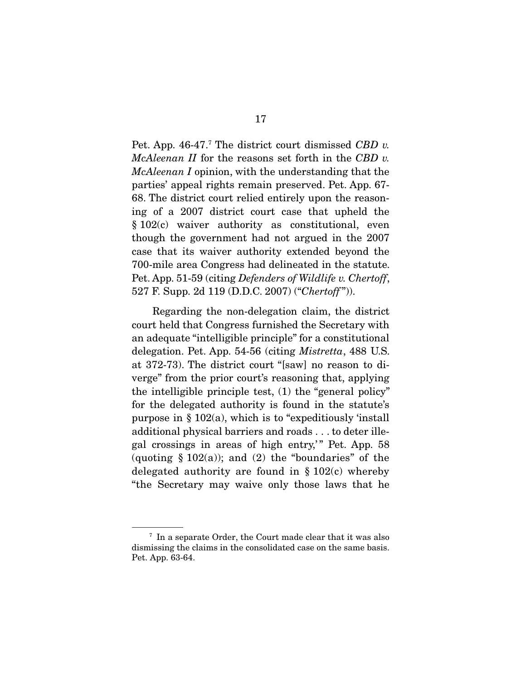Pet. App. 46-47.<sup>7</sup> The district court dismissed *CBD v. McAleenan II* for the reasons set forth in the *CBD v. McAleenan I* opinion, with the understanding that the parties' appeal rights remain preserved. Pet. App. 67- 68. The district court relied entirely upon the reasoning of a 2007 district court case that upheld the § 102(c) waiver authority as constitutional, even though the government had not argued in the 2007 case that its waiver authority extended beyond the 700-mile area Congress had delineated in the statute. Pet. App. 51-59 (citing *Defenders of Wildlife v. Chertoff*, 527 F. Supp. 2d 119 (D.D.C. 2007) ("*Chertoff*")).

 Regarding the non-delegation claim, the district court held that Congress furnished the Secretary with an adequate "intelligible principle" for a constitutional delegation. Pet. App. 54-56 (citing *Mistretta*, 488 U.S. at 372-73). The district court "[saw] no reason to diverge" from the prior court's reasoning that, applying the intelligible principle test, (1) the "general policy" for the delegated authority is found in the statute's purpose in  $\S 102(a)$ , which is to "expeditiously 'install additional physical barriers and roads . . . to deter illegal crossings in areas of high entry,' " Pet. App. 58 (quoting  $\S 102(a)$ ); and (2) the "boundaries" of the delegated authority are found in  $\S 102(c)$  whereby "the Secretary may waive only those laws that he

<sup>7</sup> In a separate Order, the Court made clear that it was also dismissing the claims in the consolidated case on the same basis. Pet. App. 63-64.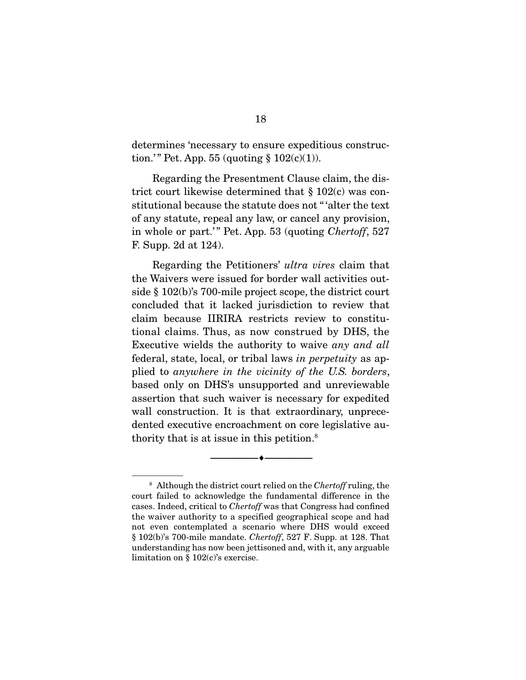determines 'necessary to ensure expeditious construction.'" Pet. App. 55 (quoting  $\S 102(c)(1)$ ).

 Regarding the Presentment Clause claim, the district court likewise determined that § 102(c) was constitutional because the statute does not " 'alter the text of any statute, repeal any law, or cancel any provision, in whole or part.'" Pet. App. 53 (quoting *Chertoff*, 527) F. Supp. 2d at 124).

 Regarding the Petitioners' *ultra vires* claim that the Waivers were issued for border wall activities outside § 102(b)'s 700-mile project scope, the district court concluded that it lacked jurisdiction to review that claim because IIRIRA restricts review to constitutional claims. Thus, as now construed by DHS, the Executive wields the authority to waive *any and all* federal, state, local, or tribal laws *in perpetuity* as applied to *anywhere in the vicinity of the U.S. borders*, based only on DHS's unsupported and unreviewable assertion that such waiver is necessary for expedited wall construction. It is that extraordinary, unprecedented executive encroachment on core legislative authority that is at issue in this petition.8

--------------------------------- ---------------------------------

<sup>8</sup> Although the district court relied on the *Chertoff* ruling, the court failed to acknowledge the fundamental difference in the cases. Indeed, critical to *Chertoff* was that Congress had confined the waiver authority to a specified geographical scope and had not even contemplated a scenario where DHS would exceed § 102(b)'s 700-mile mandate. *Chertoff*, 527 F. Supp. at 128. That understanding has now been jettisoned and, with it, any arguable limitation on § 102(c)'s exercise.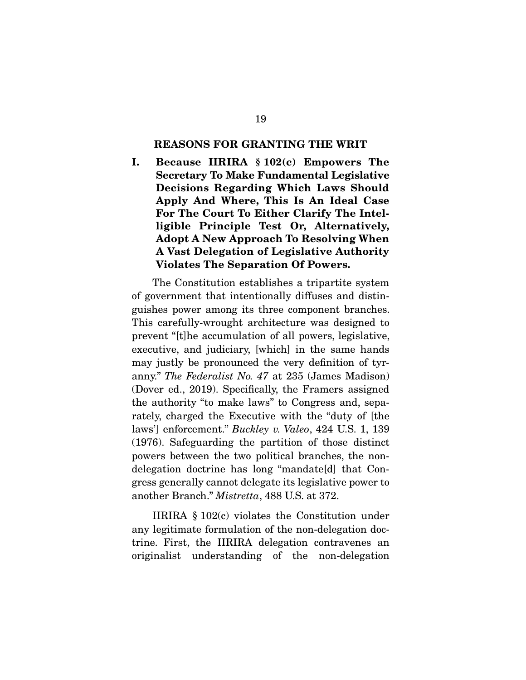#### REASONS FOR GRANTING THE WRIT

I. Because IIRIRA § 102(c) Empowers The Secretary To Make Fundamental Legislative Decisions Regarding Which Laws Should Apply And Where, This Is An Ideal Case For The Court To Either Clarify The Intelligible Principle Test Or, Alternatively, Adopt A New Approach To Resolving When A Vast Delegation of Legislative Authority Violates The Separation Of Powers.

 The Constitution establishes a tripartite system of government that intentionally diffuses and distinguishes power among its three component branches. This carefully-wrought architecture was designed to prevent "[t]he accumulation of all powers, legislative, executive, and judiciary, [which] in the same hands may justly be pronounced the very definition of tyranny." *The Federalist No. 47* at 235 (James Madison) (Dover ed., 2019). Specifically, the Framers assigned the authority "to make laws" to Congress and, separately, charged the Executive with the "duty of [the laws'] enforcement." *Buckley v. Valeo*, 424 U.S. 1, 139 (1976). Safeguarding the partition of those distinct powers between the two political branches, the nondelegation doctrine has long "mandate[d] that Congress generally cannot delegate its legislative power to another Branch." *Mistretta*, 488 U.S. at 372.

 IIRIRA § 102(c) violates the Constitution under any legitimate formulation of the non-delegation doctrine. First, the IIRIRA delegation contravenes an originalist understanding of the non-delegation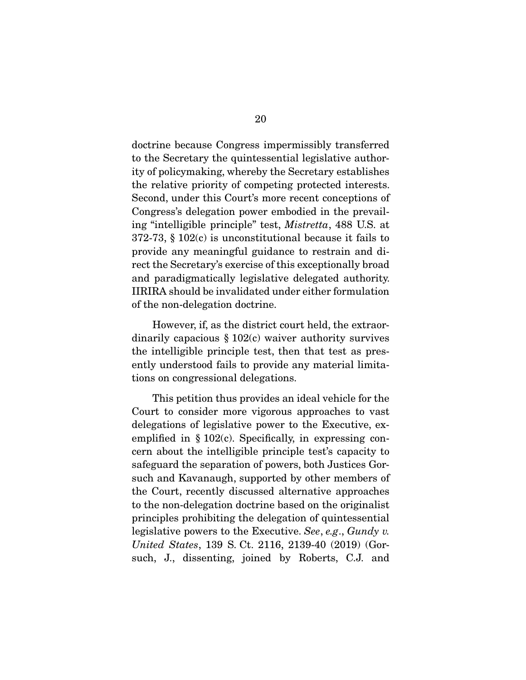doctrine because Congress impermissibly transferred to the Secretary the quintessential legislative authority of policymaking, whereby the Secretary establishes the relative priority of competing protected interests. Second, under this Court's more recent conceptions of Congress's delegation power embodied in the prevailing "intelligible principle" test, *Mistretta*, 488 U.S. at 372-73, § 102(c) is unconstitutional because it fails to provide any meaningful guidance to restrain and direct the Secretary's exercise of this exceptionally broad and paradigmatically legislative delegated authority. IIRIRA should be invalidated under either formulation of the non-delegation doctrine.

 However, if, as the district court held, the extraordinarily capacious  $\S 102(c)$  waiver authority survives the intelligible principle test, then that test as presently understood fails to provide any material limitations on congressional delegations.

 This petition thus provides an ideal vehicle for the Court to consider more vigorous approaches to vast delegations of legislative power to the Executive, exemplified in  $\S 102(c)$ . Specifically, in expressing concern about the intelligible principle test's capacity to safeguard the separation of powers, both Justices Gorsuch and Kavanaugh, supported by other members of the Court, recently discussed alternative approaches to the non-delegation doctrine based on the originalist principles prohibiting the delegation of quintessential legislative powers to the Executive. *See*, *e.g*., *Gundy v. United States*, 139 S. Ct. 2116, 2139-40 (2019) (Gorsuch, J., dissenting, joined by Roberts, C.J. and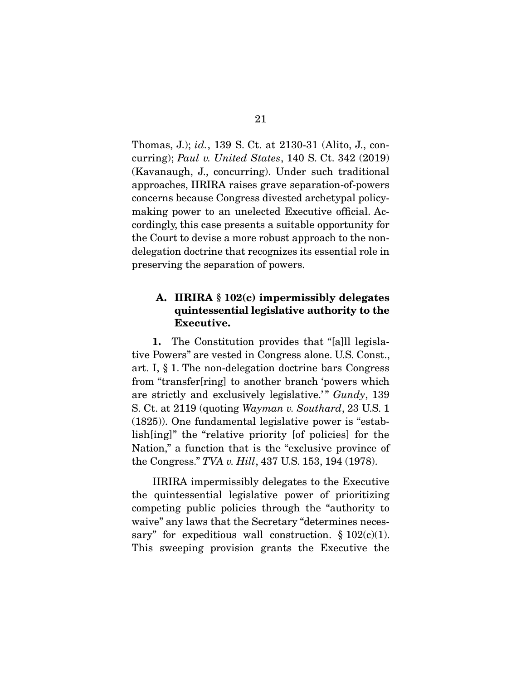Thomas, J.); *id.*, 139 S. Ct. at 2130-31 (Alito, J., concurring); *Paul v. United States*, 140 S. Ct. 342 (2019) (Kavanaugh, J., concurring). Under such traditional approaches, IIRIRA raises grave separation-of-powers concerns because Congress divested archetypal policymaking power to an unelected Executive official. Accordingly, this case presents a suitable opportunity for the Court to devise a more robust approach to the nondelegation doctrine that recognizes its essential role in preserving the separation of powers.

### A. IIRIRA § 102(c) impermissibly delegates quintessential legislative authority to the Executive.

1. The Constitution provides that "[a]ll legislative Powers" are vested in Congress alone. U.S. Const., art. I, § 1. The non-delegation doctrine bars Congress from "transfer[ring] to another branch 'powers which are strictly and exclusively legislative.'" *Gundy*, 139 S. Ct. at 2119 (quoting *Wayman v. Southard*, 23 U.S. 1 (1825)). One fundamental legislative power is "establish[ing]" the "relative priority [of policies] for the Nation," a function that is the "exclusive province of the Congress." *TVA v. Hill*, 437 U.S. 153, 194 (1978).

 IIRIRA impermissibly delegates to the Executive the quintessential legislative power of prioritizing competing public policies through the "authority to waive" any laws that the Secretary "determines necessary" for expeditious wall construction.  $\S 102(c)(1)$ . This sweeping provision grants the Executive the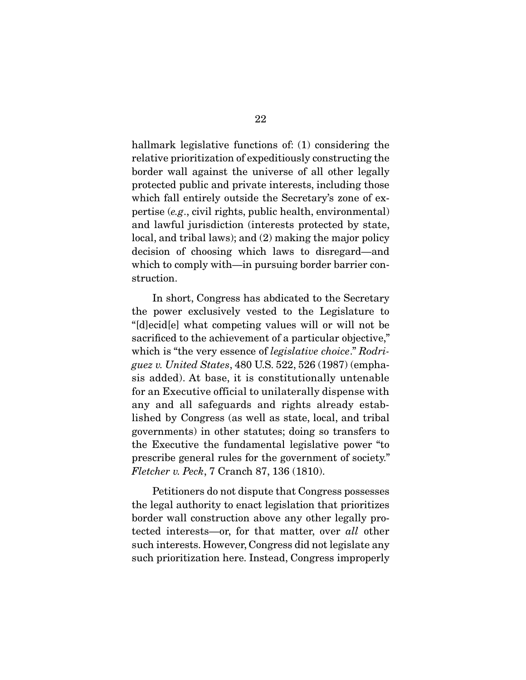hallmark legislative functions of: (1) considering the relative prioritization of expeditiously constructing the border wall against the universe of all other legally protected public and private interests, including those which fall entirely outside the Secretary's zone of expertise (*e.g*., civil rights, public health, environmental) and lawful jurisdiction (interests protected by state, local, and tribal laws); and (2) making the major policy decision of choosing which laws to disregard—and which to comply with—in pursuing border barrier construction.

 In short, Congress has abdicated to the Secretary the power exclusively vested to the Legislature to "[d]ecid[e] what competing values will or will not be sacrificed to the achievement of a particular objective," which is "the very essence of *legislative choice*." *Rodriguez v. United States*, 480 U.S. 522, 526 (1987) (emphasis added). At base, it is constitutionally untenable for an Executive official to unilaterally dispense with any and all safeguards and rights already established by Congress (as well as state, local, and tribal governments) in other statutes; doing so transfers to the Executive the fundamental legislative power "to prescribe general rules for the government of society." *Fletcher v. Peck*, 7 Cranch 87, 136 (1810).

 Petitioners do not dispute that Congress possesses the legal authority to enact legislation that prioritizes border wall construction above any other legally protected interests—or, for that matter, over *all* other such interests. However, Congress did not legislate any such prioritization here. Instead, Congress improperly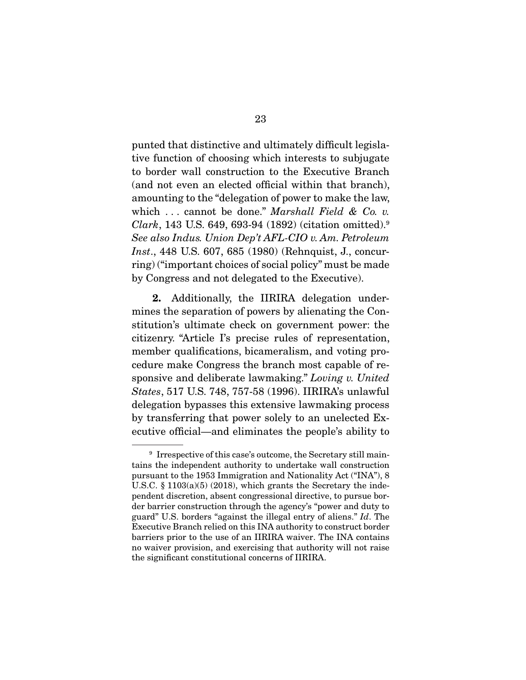punted that distinctive and ultimately difficult legislative function of choosing which interests to subjugate to border wall construction to the Executive Branch (and not even an elected official within that branch), amounting to the "delegation of power to make the law, which . . . cannot be done." *Marshall Field & Co. v. Clark*, 143 U.S. 649, 693-94 (1892) (citation omitted).9 *See also Indus. Union Dep't AFL-CIO v. Am. Petroleum Inst*., 448 U.S. 607, 685 (1980) (Rehnquist, J., concurring) ("important choices of social policy" must be made by Congress and not delegated to the Executive).

2. Additionally, the IIRIRA delegation undermines the separation of powers by alienating the Constitution's ultimate check on government power: the citizenry. "Article I's precise rules of representation, member qualifications, bicameralism, and voting procedure make Congress the branch most capable of responsive and deliberate lawmaking." *Loving v. United States*, 517 U.S. 748, 757-58 (1996). IIRIRA's unlawful delegation bypasses this extensive lawmaking process by transferring that power solely to an unelected Executive official—and eliminates the people's ability to

<sup>&</sup>lt;sup>9</sup> Irrespective of this case's outcome, the Secretary still maintains the independent authority to undertake wall construction pursuant to the 1953 Immigration and Nationality Act ("INA"), 8 U.S.C. § 1103(a)(5) (2018), which grants the Secretary the independent discretion, absent congressional directive, to pursue border barrier construction through the agency's "power and duty to guard" U.S. borders "against the illegal entry of aliens." *Id*. The Executive Branch relied on this INA authority to construct border barriers prior to the use of an IIRIRA waiver. The INA contains no waiver provision, and exercising that authority will not raise the significant constitutional concerns of IIRIRA.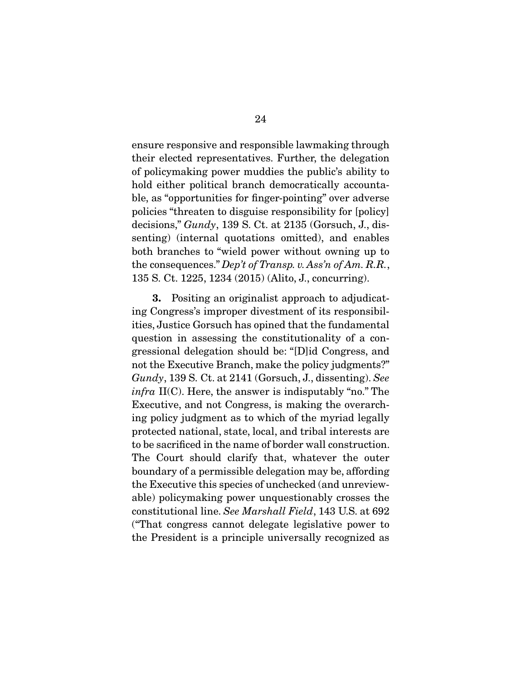ensure responsive and responsible lawmaking through their elected representatives. Further, the delegation of policymaking power muddies the public's ability to hold either political branch democratically accountable, as "opportunities for finger-pointing" over adverse policies "threaten to disguise responsibility for [policy] decisions," *Gundy*, 139 S. Ct. at 2135 (Gorsuch, J., dissenting) (internal quotations omitted), and enables both branches to "wield power without owning up to the consequences." *Dep't of Transp. v. Ass'n of Am. R.R.*, 135 S. Ct. 1225, 1234 (2015) (Alito, J., concurring).

3. Positing an originalist approach to adjudicating Congress's improper divestment of its responsibilities, Justice Gorsuch has opined that the fundamental question in assessing the constitutionality of a congressional delegation should be: "[D]id Congress, and not the Executive Branch, make the policy judgments?" *Gundy*, 139 S. Ct. at 2141 (Gorsuch, J., dissenting). *See infra* II(C). Here, the answer is indisputably "no." The Executive, and not Congress, is making the overarching policy judgment as to which of the myriad legally protected national, state, local, and tribal interests are to be sacrificed in the name of border wall construction. The Court should clarify that, whatever the outer boundary of a permissible delegation may be, affording the Executive this species of unchecked (and unreviewable) policymaking power unquestionably crosses the constitutional line. *See Marshall Field*, 143 U.S. at 692 ("That congress cannot delegate legislative power to the President is a principle universally recognized as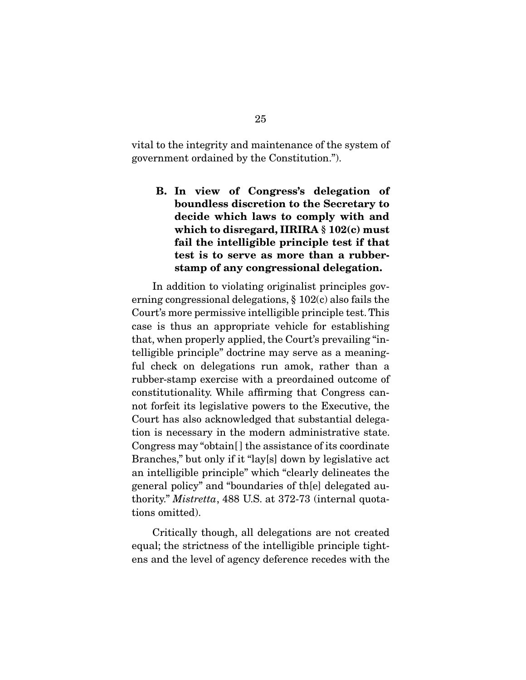vital to the integrity and maintenance of the system of government ordained by the Constitution.").

B. In view of Congress's delegation of boundless discretion to the Secretary to decide which laws to comply with and which to disregard, IIRIRA § 102(c) must fail the intelligible principle test if that test is to serve as more than a rubberstamp of any congressional delegation.

 In addition to violating originalist principles governing congressional delegations, § 102(c) also fails the Court's more permissive intelligible principle test. This case is thus an appropriate vehicle for establishing that, when properly applied, the Court's prevailing "intelligible principle" doctrine may serve as a meaningful check on delegations run amok, rather than a rubber-stamp exercise with a preordained outcome of constitutionality. While affirming that Congress cannot forfeit its legislative powers to the Executive, the Court has also acknowledged that substantial delegation is necessary in the modern administrative state. Congress may "obtain[ ] the assistance of its coordinate Branches," but only if it "lay[s] down by legislative act an intelligible principle" which "clearly delineates the general policy" and "boundaries of th[e] delegated authority." *Mistretta*, 488 U.S. at 372-73 (internal quotations omitted).

 Critically though, all delegations are not created equal; the strictness of the intelligible principle tightens and the level of agency deference recedes with the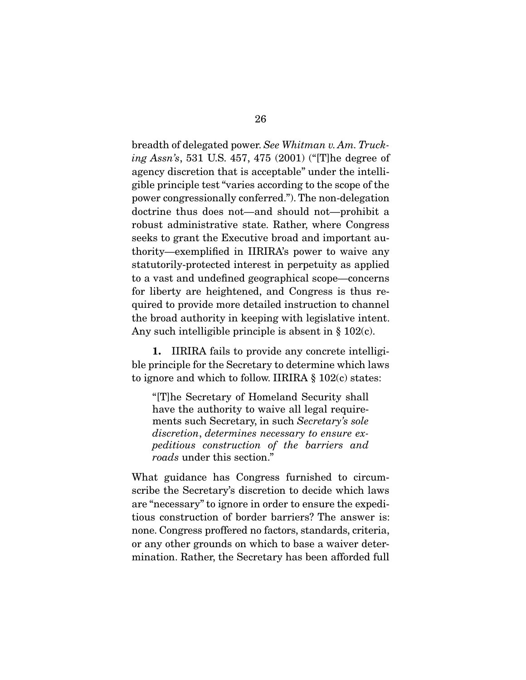breadth of delegated power. *See Whitman v. Am. Trucking Assn's*, 531 U.S. 457, 475 (2001) ("[T]he degree of agency discretion that is acceptable" under the intelligible principle test "varies according to the scope of the power congressionally conferred."). The non-delegation doctrine thus does not—and should not—prohibit a robust administrative state. Rather, where Congress seeks to grant the Executive broad and important authority—exemplified in IIRIRA's power to waive any statutorily-protected interest in perpetuity as applied to a vast and undefined geographical scope—concerns for liberty are heightened, and Congress is thus required to provide more detailed instruction to channel the broad authority in keeping with legislative intent. Any such intelligible principle is absent in § 102(c).

1. IIRIRA fails to provide any concrete intelligible principle for the Secretary to determine which laws to ignore and which to follow. IIRIRA § 102(c) states:

"[T]he Secretary of Homeland Security shall have the authority to waive all legal requirements such Secretary, in such *Secretary's sole discretion*, *determines necessary to ensure expeditious construction of the barriers and roads* under this section."

What guidance has Congress furnished to circumscribe the Secretary's discretion to decide which laws are "necessary" to ignore in order to ensure the expeditious construction of border barriers? The answer is: none. Congress proffered no factors, standards, criteria, or any other grounds on which to base a waiver determination. Rather, the Secretary has been afforded full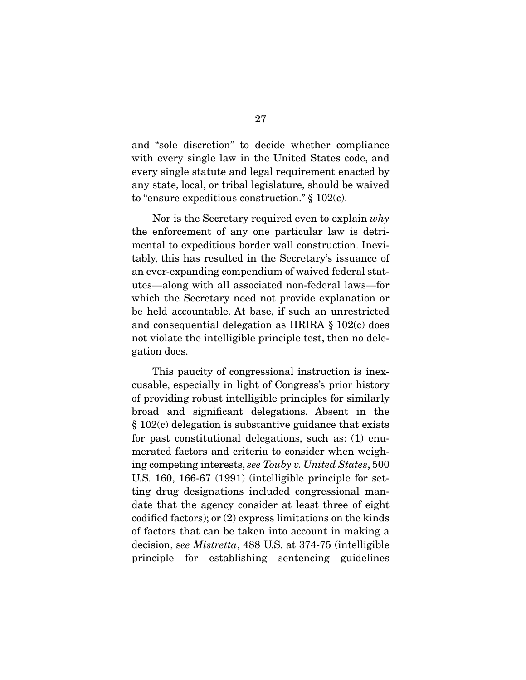and "sole discretion" to decide whether compliance with every single law in the United States code, and every single statute and legal requirement enacted by any state, local, or tribal legislature, should be waived to "ensure expeditious construction." § 102(c).

 Nor is the Secretary required even to explain *why* the enforcement of any one particular law is detrimental to expeditious border wall construction. Inevitably, this has resulted in the Secretary's issuance of an ever-expanding compendium of waived federal statutes—along with all associated non-federal laws—for which the Secretary need not provide explanation or be held accountable. At base, if such an unrestricted and consequential delegation as IIRIRA § 102(c) does not violate the intelligible principle test, then no delegation does.

 This paucity of congressional instruction is inexcusable, especially in light of Congress's prior history of providing robust intelligible principles for similarly broad and significant delegations. Absent in the § 102(c) delegation is substantive guidance that exists for past constitutional delegations, such as: (1) enumerated factors and criteria to consider when weighing competing interests, *see Touby v. United States*, 500 U.S. 160, 166-67 (1991) (intelligible principle for setting drug designations included congressional mandate that the agency consider at least three of eight codified factors); or (2) express limitations on the kinds of factors that can be taken into account in making a decision, s*ee Mistretta*, 488 U.S. at 374-75 (intelligible principle for establishing sentencing guidelines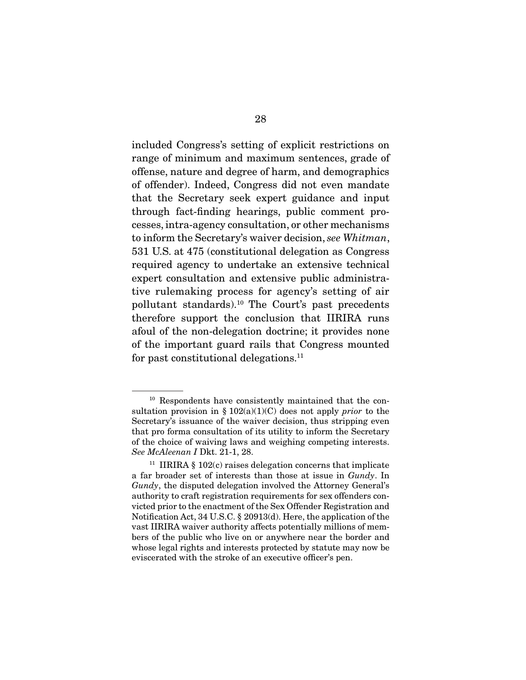included Congress's setting of explicit restrictions on range of minimum and maximum sentences, grade of offense, nature and degree of harm, and demographics of offender). Indeed, Congress did not even mandate that the Secretary seek expert guidance and input through fact-finding hearings, public comment processes, intra-agency consultation, or other mechanisms to inform the Secretary's waiver decision, *see Whitman*, 531 U.S. at 475 (constitutional delegation as Congress required agency to undertake an extensive technical expert consultation and extensive public administrative rulemaking process for agency's setting of air pollutant standards).10 The Court's past precedents therefore support the conclusion that IIRIRA runs afoul of the non-delegation doctrine; it provides none of the important guard rails that Congress mounted for past constitutional delegations.<sup>11</sup>

<sup>10</sup> Respondents have consistently maintained that the consultation provision in § 102(a)(1)(C) does not apply *prior* to the Secretary's issuance of the waiver decision, thus stripping even that pro forma consultation of its utility to inform the Secretary of the choice of waiving laws and weighing competing interests. *See McAleenan I* Dkt. 21-1, 28.

<sup>&</sup>lt;sup>11</sup> IIRIRA  $\S$  102(c) raises delegation concerns that implicate a far broader set of interests than those at issue in *Gundy*. In *Gundy*, the disputed delegation involved the Attorney General's authority to craft registration requirements for sex offenders convicted prior to the enactment of the Sex Offender Registration and Notification Act, 34 U.S.C. § 20913(d). Here, the application of the vast IIRIRA waiver authority affects potentially millions of members of the public who live on or anywhere near the border and whose legal rights and interests protected by statute may now be eviscerated with the stroke of an executive officer's pen.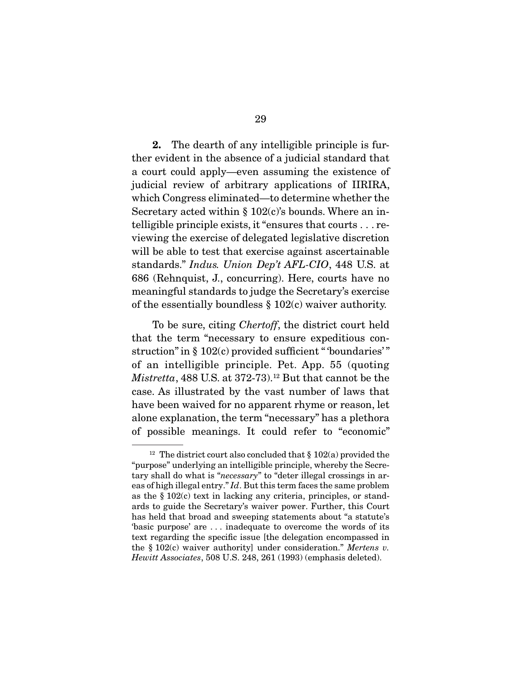2. The dearth of any intelligible principle is further evident in the absence of a judicial standard that a court could apply—even assuming the existence of judicial review of arbitrary applications of IIRIRA, which Congress eliminated—to determine whether the Secretary acted within  $\S 102(c)$ 's bounds. Where an intelligible principle exists, it "ensures that courts . . . reviewing the exercise of delegated legislative discretion will be able to test that exercise against ascertainable standards." *Indus. Union Dep't AFL-CIO*, 448 U.S. at 686 (Rehnquist, J., concurring). Here, courts have no meaningful standards to judge the Secretary's exercise of the essentially boundless § 102(c) waiver authority.

 To be sure, citing *Chertoff*, the district court held that the term "necessary to ensure expeditious construction" in § 102(c) provided sufficient "boundaries" of an intelligible principle. Pet. App. 55 (quoting  $Mistretta$ , 488 U.S. at 372-73).<sup>12</sup> But that cannot be the case. As illustrated by the vast number of laws that have been waived for no apparent rhyme or reason, let alone explanation, the term "necessary" has a plethora of possible meanings. It could refer to "economic"

<sup>&</sup>lt;sup>12</sup> The district court also concluded that  $\S 102(a)$  provided the "purpose" underlying an intelligible principle, whereby the Secretary shall do what is "*necessary*" to "deter illegal crossings in areas of high illegal entry." *Id*. But this term faces the same problem as the  $\S 102(c)$  text in lacking any criteria, principles, or standards to guide the Secretary's waiver power. Further, this Court has held that broad and sweeping statements about "a statute's 'basic purpose' are . . . inadequate to overcome the words of its text regarding the specific issue [the delegation encompassed in the § 102(c) waiver authority] under consideration." *Mertens v. Hewitt Associates*, 508 U.S. 248, 261 (1993) (emphasis deleted).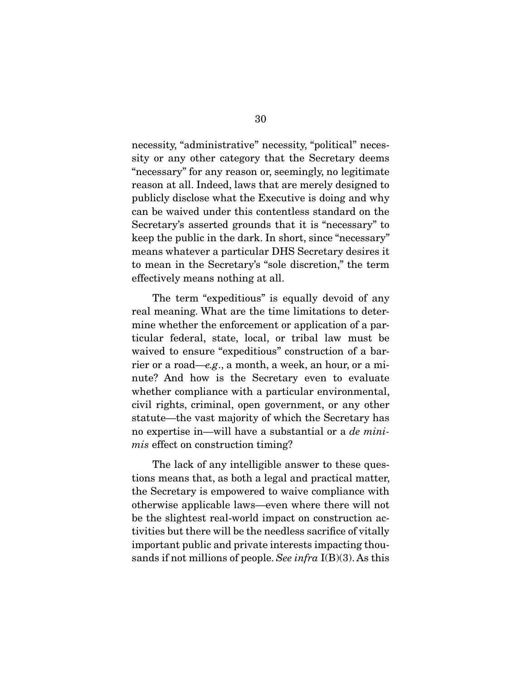necessity, "administrative" necessity, "political" necessity or any other category that the Secretary deems "necessary" for any reason or, seemingly, no legitimate reason at all. Indeed, laws that are merely designed to publicly disclose what the Executive is doing and why can be waived under this contentless standard on the Secretary's asserted grounds that it is "necessary" to keep the public in the dark. In short, since "necessary" means whatever a particular DHS Secretary desires it to mean in the Secretary's "sole discretion," the term effectively means nothing at all.

 The term "expeditious" is equally devoid of any real meaning. What are the time limitations to determine whether the enforcement or application of a particular federal, state, local, or tribal law must be waived to ensure "expeditious" construction of a barrier or a road—*e.g*., a month, a week, an hour, or a minute? And how is the Secretary even to evaluate whether compliance with a particular environmental, civil rights, criminal, open government, or any other statute—the vast majority of which the Secretary has no expertise in—will have a substantial or a *de minimis* effect on construction timing?

 The lack of any intelligible answer to these questions means that, as both a legal and practical matter, the Secretary is empowered to waive compliance with otherwise applicable laws—even where there will not be the slightest real-world impact on construction activities but there will be the needless sacrifice of vitally important public and private interests impacting thousands if not millions of people. *See infra* I(B)(3). As this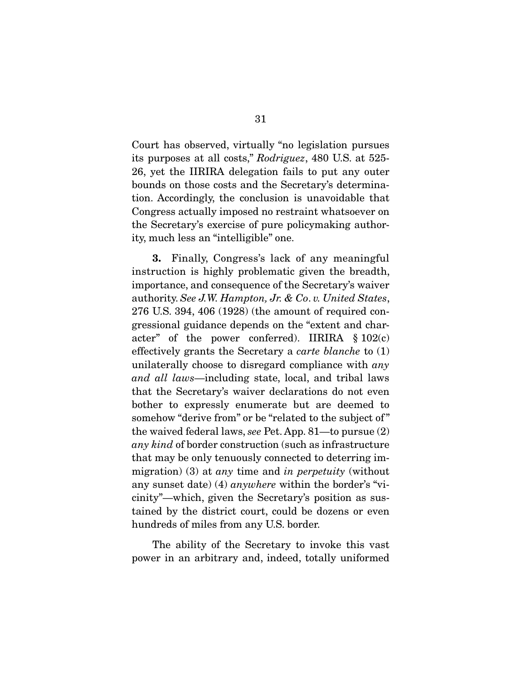Court has observed, virtually "no legislation pursues its purposes at all costs," *Rodriguez*, 480 U.S. at 525- 26, yet the IIRIRA delegation fails to put any outer bounds on those costs and the Secretary's determination. Accordingly, the conclusion is unavoidable that Congress actually imposed no restraint whatsoever on the Secretary's exercise of pure policymaking authority, much less an "intelligible" one.

3. Finally, Congress's lack of any meaningful instruction is highly problematic given the breadth, importance, and consequence of the Secretary's waiver authority. *See J.W. Hampton, Jr. & Co*. *v. United States*, 276 U.S. 394, 406 (1928) (the amount of required congressional guidance depends on the "extent and character" of the power conferred). IIRIRA  $\S 102(c)$ effectively grants the Secretary a *carte blanche* to (1) unilaterally choose to disregard compliance with *any and all laws*—including state, local, and tribal laws that the Secretary's waiver declarations do not even bother to expressly enumerate but are deemed to somehow "derive from" or be "related to the subject of" the waived federal laws, *see* Pet. App. 81—to pursue (2) *any kind* of border construction (such as infrastructure that may be only tenuously connected to deterring immigration) (3) at *any* time and *in perpetuity* (without any sunset date) (4) *anywhere* within the border's "vicinity"—which, given the Secretary's position as sustained by the district court, could be dozens or even hundreds of miles from any U.S. border.

 The ability of the Secretary to invoke this vast power in an arbitrary and, indeed, totally uniformed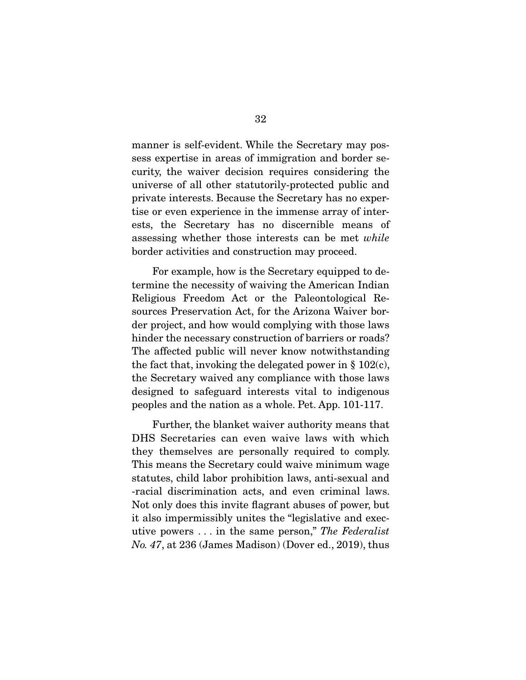manner is self-evident. While the Secretary may possess expertise in areas of immigration and border security, the waiver decision requires considering the universe of all other statutorily-protected public and private interests. Because the Secretary has no expertise or even experience in the immense array of interests, the Secretary has no discernible means of assessing whether those interests can be met *while* border activities and construction may proceed.

 For example, how is the Secretary equipped to determine the necessity of waiving the American Indian Religious Freedom Act or the Paleontological Resources Preservation Act, for the Arizona Waiver border project, and how would complying with those laws hinder the necessary construction of barriers or roads? The affected public will never know notwithstanding the fact that, invoking the delegated power in  $\S 102(c)$ , the Secretary waived any compliance with those laws designed to safeguard interests vital to indigenous peoples and the nation as a whole. Pet. App. 101-117.

 Further, the blanket waiver authority means that DHS Secretaries can even waive laws with which they themselves are personally required to comply. This means the Secretary could waive minimum wage statutes, child labor prohibition laws, anti-sexual and -racial discrimination acts, and even criminal laws. Not only does this invite flagrant abuses of power, but it also impermissibly unites the "legislative and executive powers . . . in the same person," *The Federalist No. 47*, at 236 (James Madison) (Dover ed., 2019), thus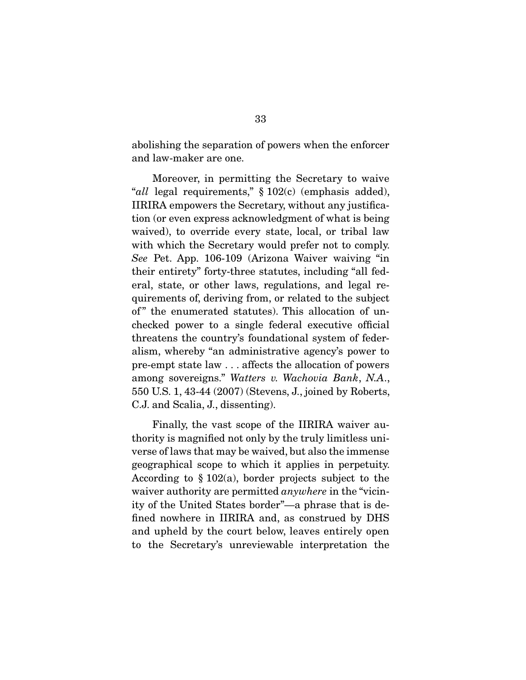abolishing the separation of powers when the enforcer and law-maker are one.

 Moreover, in permitting the Secretary to waive "*all* legal requirements," § 102(c) (emphasis added), IIRIRA empowers the Secretary, without any justification (or even express acknowledgment of what is being waived), to override every state, local, or tribal law with which the Secretary would prefer not to comply. *See* Pet. App. 106-109 (Arizona Waiver waiving "in their entirety" forty-three statutes, including "all federal, state, or other laws, regulations, and legal requirements of, deriving from, or related to the subject of" the enumerated statutes). This allocation of unchecked power to a single federal executive official threatens the country's foundational system of federalism, whereby "an administrative agency's power to pre-empt state law . . . affects the allocation of powers among sovereigns." *Watters v. Wachovia Bank*, *N.A*., 550 U.S. 1, 43-44 (2007) (Stevens, J., joined by Roberts, C.J. and Scalia, J., dissenting).

 Finally, the vast scope of the IIRIRA waiver authority is magnified not only by the truly limitless universe of laws that may be waived, but also the immense geographical scope to which it applies in perpetuity. According to  $\S 102(a)$ , border projects subject to the waiver authority are permitted *anywhere* in the "vicinity of the United States border"—a phrase that is defined nowhere in IIRIRA and, as construed by DHS and upheld by the court below, leaves entirely open to the Secretary's unreviewable interpretation the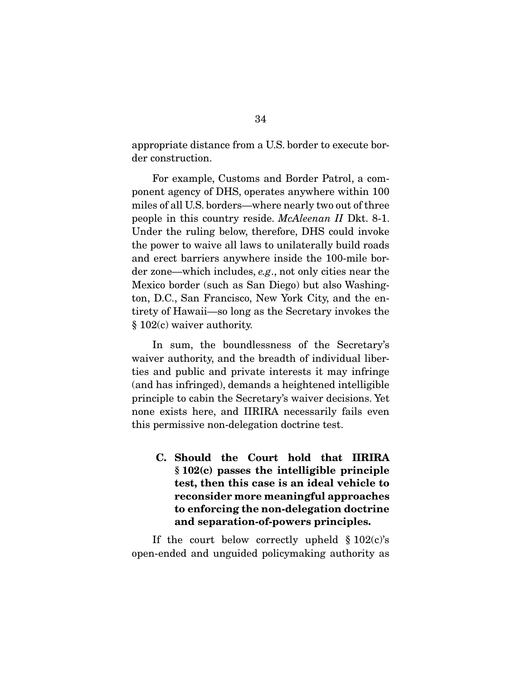appropriate distance from a U.S. border to execute border construction.

 For example, Customs and Border Patrol, a component agency of DHS, operates anywhere within 100 miles of all U.S. borders—where nearly two out of three people in this country reside. *McAleenan II* Dkt. 8-1. Under the ruling below, therefore, DHS could invoke the power to waive all laws to unilaterally build roads and erect barriers anywhere inside the 100-mile border zone—which includes, *e.g*., not only cities near the Mexico border (such as San Diego) but also Washington, D.C., San Francisco, New York City, and the entirety of Hawaii—so long as the Secretary invokes the § 102(c) waiver authority.

 In sum, the boundlessness of the Secretary's waiver authority, and the breadth of individual liberties and public and private interests it may infringe (and has infringed), demands a heightened intelligible principle to cabin the Secretary's waiver decisions. Yet none exists here, and IIRIRA necessarily fails even this permissive non-delegation doctrine test.

C. Should the Court hold that IIRIRA § 102(c) passes the intelligible principle test, then this case is an ideal vehicle to reconsider more meaningful approaches to enforcing the non-delegation doctrine and separation-of-powers principles.

If the court below correctly upheld  $\S 102(c)$ 's open-ended and unguided policymaking authority as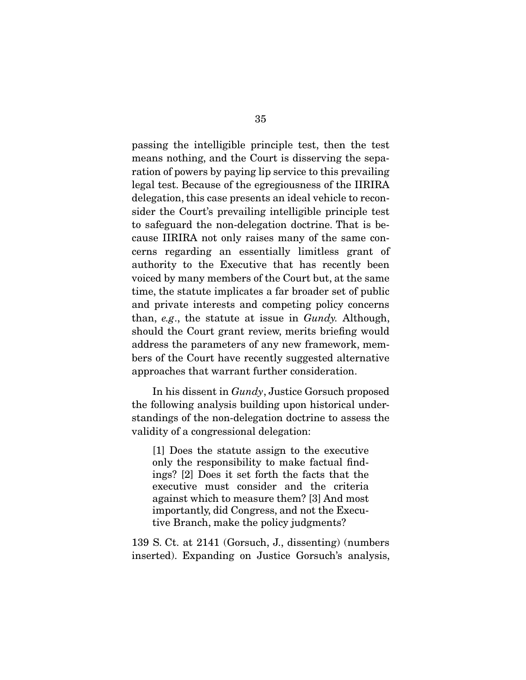passing the intelligible principle test, then the test means nothing, and the Court is disserving the separation of powers by paying lip service to this prevailing legal test. Because of the egregiousness of the IIRIRA delegation, this case presents an ideal vehicle to reconsider the Court's prevailing intelligible principle test to safeguard the non-delegation doctrine. That is because IIRIRA not only raises many of the same concerns regarding an essentially limitless grant of authority to the Executive that has recently been voiced by many members of the Court but, at the same time, the statute implicates a far broader set of public and private interests and competing policy concerns than, *e.g*., the statute at issue in *Gundy.* Although, should the Court grant review, merits briefing would address the parameters of any new framework, members of the Court have recently suggested alternative approaches that warrant further consideration.

 In his dissent in *Gundy*, Justice Gorsuch proposed the following analysis building upon historical understandings of the non-delegation doctrine to assess the validity of a congressional delegation:

[1] Does the statute assign to the executive only the responsibility to make factual findings? [2] Does it set forth the facts that the executive must consider and the criteria against which to measure them? [3] And most importantly, did Congress, and not the Executive Branch, make the policy judgments?

139 S. Ct. at 2141 (Gorsuch, J., dissenting) (numbers inserted). Expanding on Justice Gorsuch's analysis,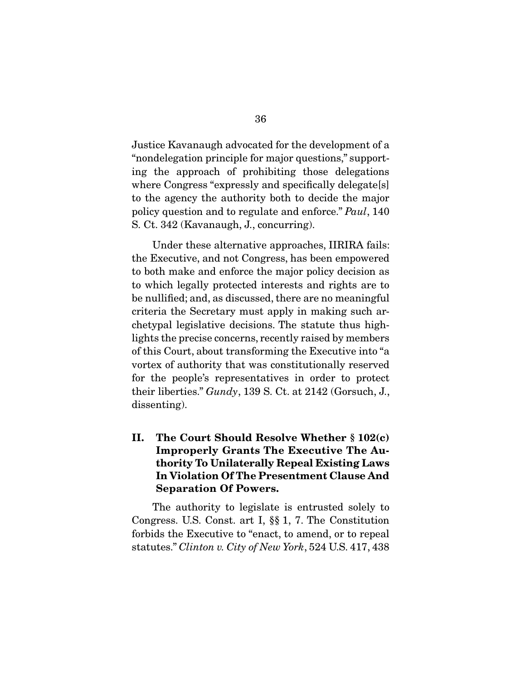Justice Kavanaugh advocated for the development of a "nondelegation principle for major questions," supporting the approach of prohibiting those delegations where Congress "expressly and specifically delegate[s] to the agency the authority both to decide the major policy question and to regulate and enforce." *Paul*, 140 S. Ct. 342 (Kavanaugh, J., concurring).

 Under these alternative approaches, IIRIRA fails: the Executive, and not Congress, has been empowered to both make and enforce the major policy decision as to which legally protected interests and rights are to be nullified; and, as discussed, there are no meaningful criteria the Secretary must apply in making such archetypal legislative decisions. The statute thus highlights the precise concerns, recently raised by members of this Court, about transforming the Executive into "a vortex of authority that was constitutionally reserved for the people's representatives in order to protect their liberties." *Gundy*, 139 S. Ct. at 2142 (Gorsuch, J., dissenting).

II. The Court Should Resolve Whether § 102(c) Improperly Grants The Executive The Authority To Unilaterally Repeal Existing Laws In Violation Of The Presentment Clause And Separation Of Powers.

 The authority to legislate is entrusted solely to Congress. U.S. Const. art I, §§ 1, 7. The Constitution forbids the Executive to "enact, to amend, or to repeal statutes." *Clinton v. City of New York*, 524 U.S. 417, 438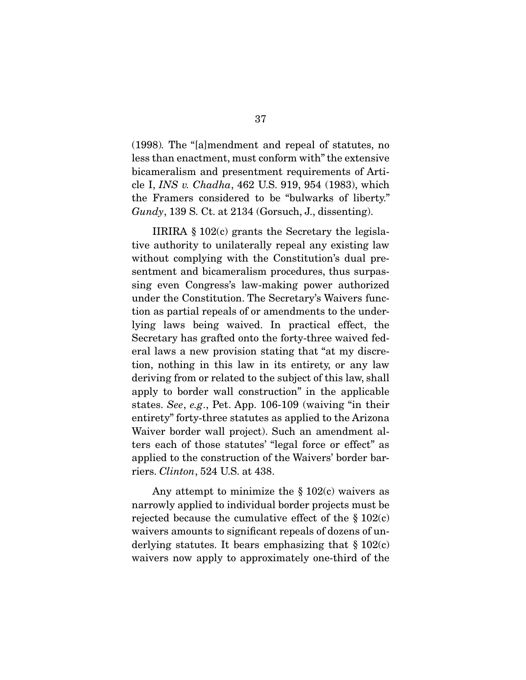(1998)*.* The "[a]mendment and repeal of statutes, no less than enactment, must conform with" the extensive bicameralism and presentment requirements of Article I, *INS v. Chadha*, 462 U.S. 919, 954 (1983), which the Framers considered to be "bulwarks of liberty." *Gundy*, 139 S. Ct. at 2134 (Gorsuch, J., dissenting).

 IIRIRA § 102(c) grants the Secretary the legislative authority to unilaterally repeal any existing law without complying with the Constitution's dual presentment and bicameralism procedures, thus surpassing even Congress's law-making power authorized under the Constitution. The Secretary's Waivers function as partial repeals of or amendments to the underlying laws being waived. In practical effect, the Secretary has grafted onto the forty-three waived federal laws a new provision stating that "at my discretion, nothing in this law in its entirety, or any law deriving from or related to the subject of this law, shall apply to border wall construction" in the applicable states. *See*, *e.g*., Pet. App. 106-109 (waiving "in their entirety" forty-three statutes as applied to the Arizona Waiver border wall project). Such an amendment alters each of those statutes' "legal force or effect" as applied to the construction of the Waivers' border barriers. *Clinton*, 524 U.S. at 438.

Any attempt to minimize the  $\S 102(c)$  waivers as narrowly applied to individual border projects must be rejected because the cumulative effect of the  $\S 102(c)$ waivers amounts to significant repeals of dozens of underlying statutes. It bears emphasizing that  $\S 102(c)$ waivers now apply to approximately one-third of the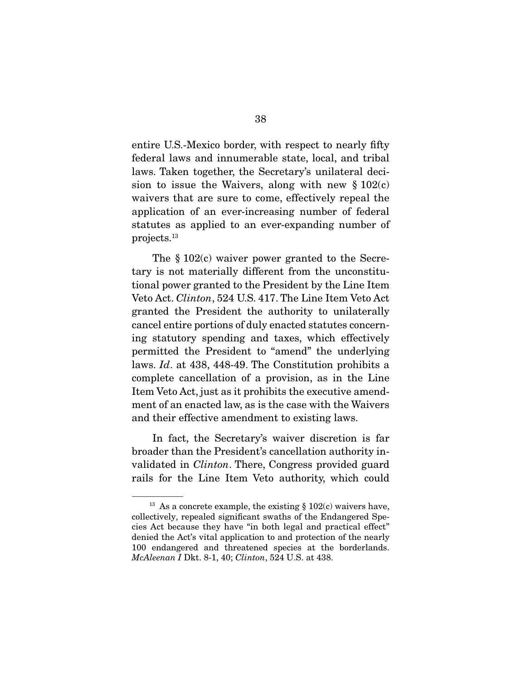entire U.S.-Mexico border, with respect to nearly fifty federal laws and innumerable state, local, and tribal laws. Taken together, the Secretary's unilateral decision to issue the Waivers, along with new  $\S 102(c)$ waivers that are sure to come, effectively repeal the application of an ever-increasing number of federal statutes as applied to an ever-expanding number of projects.13

 The § 102(c) waiver power granted to the Secretary is not materially different from the unconstitutional power granted to the President by the Line Item Veto Act. *Clinton*, 524 U.S. 417. The Line Item Veto Act granted the President the authority to unilaterally cancel entire portions of duly enacted statutes concerning statutory spending and taxes, which effectively permitted the President to "amend" the underlying laws. *Id*. at 438, 448-49. The Constitution prohibits a complete cancellation of a provision, as in the Line Item Veto Act, just as it prohibits the executive amendment of an enacted law, as is the case with the Waivers and their effective amendment to existing laws.

 In fact, the Secretary's waiver discretion is far broader than the President's cancellation authority invalidated in *Clinton*. There, Congress provided guard rails for the Line Item Veto authority, which could

<sup>&</sup>lt;sup>13</sup> As a concrete example, the existing  $\S 102(c)$  waivers have, collectively, repealed significant swaths of the Endangered Species Act because they have "in both legal and practical effect" denied the Act's vital application to and protection of the nearly 100 endangered and threatened species at the borderlands. *McAleenan I* Dkt. 8-1, 40; *Clinton*, 524 U.S. at 438.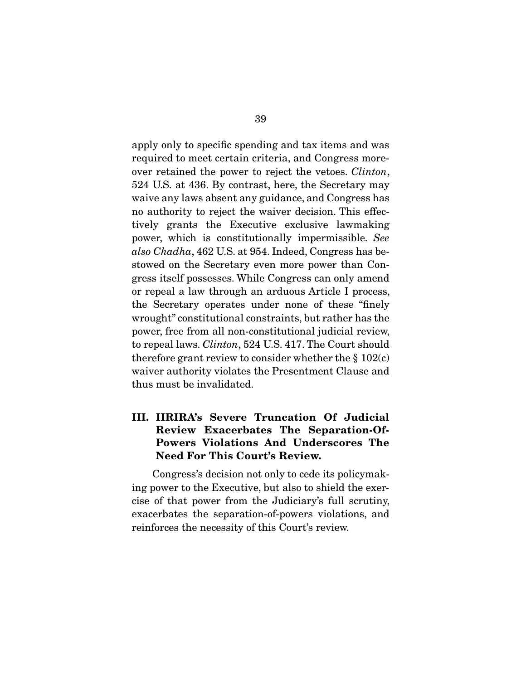apply only to specific spending and tax items and was required to meet certain criteria, and Congress moreover retained the power to reject the vetoes. *Clinton*, 524 U.S. at 436. By contrast, here, the Secretary may waive any laws absent any guidance, and Congress has no authority to reject the waiver decision. This effectively grants the Executive exclusive lawmaking power, which is constitutionally impermissible. *See also Chadha*, 462 U.S. at 954. Indeed, Congress has bestowed on the Secretary even more power than Congress itself possesses. While Congress can only amend or repeal a law through an arduous Article I process, the Secretary operates under none of these "finely wrought" constitutional constraints, but rather has the power, free from all non-constitutional judicial review, to repeal laws. *Clinton*, 524 U.S. 417. The Court should therefore grant review to consider whether the  $\S 102(c)$ waiver authority violates the Presentment Clause and thus must be invalidated.

### III. IIRIRA's Severe Truncation Of Judicial Review Exacerbates The Separation-Of-Powers Violations And Underscores The Need For This Court's Review.

 Congress's decision not only to cede its policymaking power to the Executive, but also to shield the exercise of that power from the Judiciary's full scrutiny, exacerbates the separation-of-powers violations, and reinforces the necessity of this Court's review.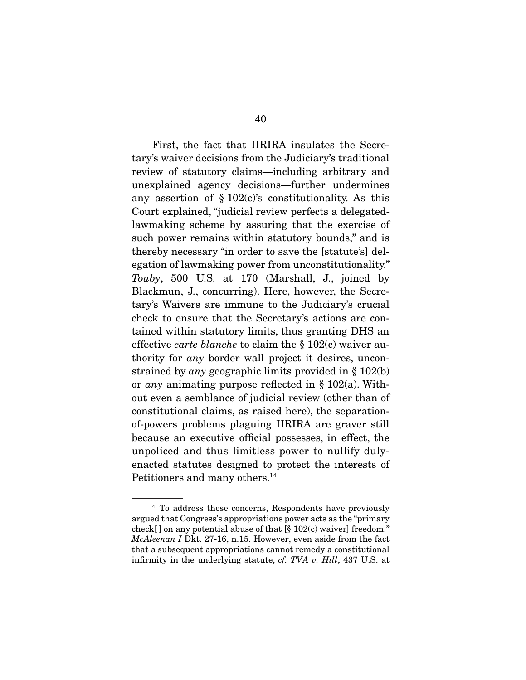First, the fact that IIRIRA insulates the Secretary's waiver decisions from the Judiciary's traditional review of statutory claims—including arbitrary and unexplained agency decisions—further undermines any assertion of  $\S 102(c)$ 's constitutionality. As this Court explained, "judicial review perfects a delegatedlawmaking scheme by assuring that the exercise of such power remains within statutory bounds," and is thereby necessary "in order to save the [statute's] delegation of lawmaking power from unconstitutionality." *Touby*, 500 U.S. at 170 (Marshall, J., joined by Blackmun, J., concurring). Here, however, the Secretary's Waivers are immune to the Judiciary's crucial check to ensure that the Secretary's actions are contained within statutory limits, thus granting DHS an effective *carte blanche* to claim the § 102(c) waiver authority for *any* border wall project it desires, unconstrained by *any* geographic limits provided in § 102(b) or *any* animating purpose reflected in § 102(a). Without even a semblance of judicial review (other than of constitutional claims, as raised here), the separationof-powers problems plaguing IIRIRA are graver still because an executive official possesses, in effect, the unpoliced and thus limitless power to nullify dulyenacted statutes designed to protect the interests of Petitioners and many others.<sup>14</sup>

<sup>&</sup>lt;sup>14</sup> To address these concerns, Respondents have previously argued that Congress's appropriations power acts as the "primary check[] on any potential abuse of that  $[\S 102(c)$  waiver] freedom." *McAleenan I* Dkt. 27-16, n.15. However, even aside from the fact that a subsequent appropriations cannot remedy a constitutional infirmity in the underlying statute, *cf. TVA v. Hill*, 437 U.S. at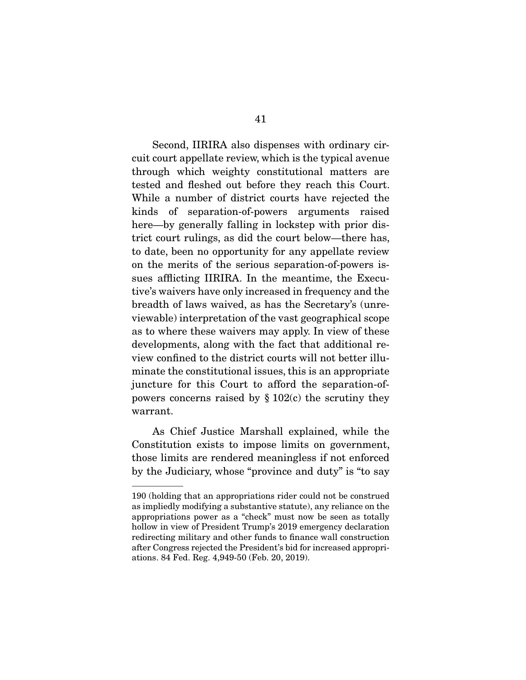Second, IIRIRA also dispenses with ordinary circuit court appellate review, which is the typical avenue through which weighty constitutional matters are tested and fleshed out before they reach this Court. While a number of district courts have rejected the kinds of separation-of-powers arguments raised here—by generally falling in lockstep with prior district court rulings, as did the court below—there has, to date, been no opportunity for any appellate review on the merits of the serious separation-of-powers issues afflicting IIRIRA. In the meantime, the Executive's waivers have only increased in frequency and the breadth of laws waived, as has the Secretary's (unreviewable) interpretation of the vast geographical scope as to where these waivers may apply. In view of these developments, along with the fact that additional review confined to the district courts will not better illuminate the constitutional issues, this is an appropriate juncture for this Court to afford the separation-ofpowers concerns raised by  $\S 102(c)$  the scrutiny they warrant.

 As Chief Justice Marshall explained, while the Constitution exists to impose limits on government, those limits are rendered meaningless if not enforced by the Judiciary, whose "province and duty" is "to say

<sup>190 (</sup>holding that an appropriations rider could not be construed as impliedly modifying a substantive statute), any reliance on the appropriations power as a "check" must now be seen as totally hollow in view of President Trump's 2019 emergency declaration redirecting military and other funds to finance wall construction after Congress rejected the President's bid for increased appropriations. 84 Fed. Reg. 4,949-50 (Feb. 20, 2019).